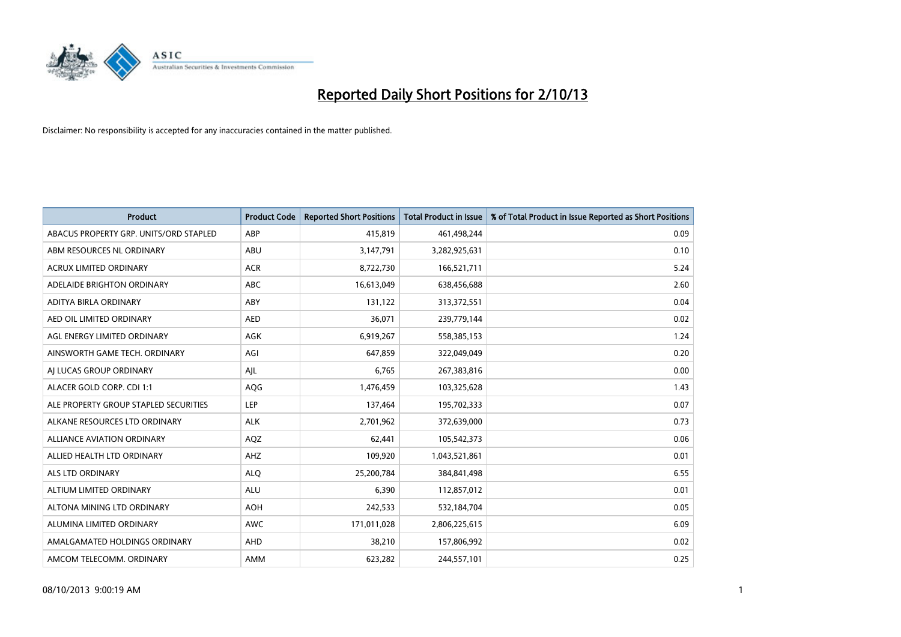

| <b>Product</b>                         | <b>Product Code</b> | <b>Reported Short Positions</b> | <b>Total Product in Issue</b> | % of Total Product in Issue Reported as Short Positions |
|----------------------------------------|---------------------|---------------------------------|-------------------------------|---------------------------------------------------------|
| ABACUS PROPERTY GRP. UNITS/ORD STAPLED | ABP                 | 415,819                         | 461,498,244                   | 0.09                                                    |
| ABM RESOURCES NL ORDINARY              | ABU                 | 3,147,791                       | 3,282,925,631                 | 0.10                                                    |
| <b>ACRUX LIMITED ORDINARY</b>          | <b>ACR</b>          | 8,722,730                       | 166,521,711                   | 5.24                                                    |
| ADELAIDE BRIGHTON ORDINARY             | <b>ABC</b>          | 16,613,049                      | 638,456,688                   | 2.60                                                    |
| ADITYA BIRLA ORDINARY                  | ABY                 | 131,122                         | 313,372,551                   | 0.04                                                    |
| AED OIL LIMITED ORDINARY               | <b>AED</b>          | 36,071                          | 239,779,144                   | 0.02                                                    |
| AGL ENERGY LIMITED ORDINARY            | AGK                 | 6,919,267                       | 558,385,153                   | 1.24                                                    |
| AINSWORTH GAME TECH. ORDINARY          | AGI                 | 647,859                         | 322,049,049                   | 0.20                                                    |
| AI LUCAS GROUP ORDINARY                | AJL                 | 6,765                           | 267,383,816                   | 0.00                                                    |
| ALACER GOLD CORP. CDI 1:1              | AQG                 | 1,476,459                       | 103,325,628                   | 1.43                                                    |
| ALE PROPERTY GROUP STAPLED SECURITIES  | <b>LEP</b>          | 137,464                         | 195,702,333                   | 0.07                                                    |
| ALKANE RESOURCES LTD ORDINARY          | <b>ALK</b>          | 2,701,962                       | 372,639,000                   | 0.73                                                    |
| <b>ALLIANCE AVIATION ORDINARY</b>      | AQZ                 | 62,441                          | 105,542,373                   | 0.06                                                    |
| ALLIED HEALTH LTD ORDINARY             | AHZ                 | 109,920                         | 1,043,521,861                 | 0.01                                                    |
| ALS LTD ORDINARY                       | <b>ALQ</b>          | 25,200,784                      | 384,841,498                   | 6.55                                                    |
| ALTIUM LIMITED ORDINARY                | <b>ALU</b>          | 6,390                           | 112,857,012                   | 0.01                                                    |
| ALTONA MINING LTD ORDINARY             | <b>AOH</b>          | 242,533                         | 532,184,704                   | 0.05                                                    |
| ALUMINA LIMITED ORDINARY               | <b>AWC</b>          | 171,011,028                     | 2,806,225,615                 | 6.09                                                    |
| AMALGAMATED HOLDINGS ORDINARY          | AHD                 | 38,210                          | 157,806,992                   | 0.02                                                    |
| AMCOM TELECOMM, ORDINARY               | AMM                 | 623,282                         | 244,557,101                   | 0.25                                                    |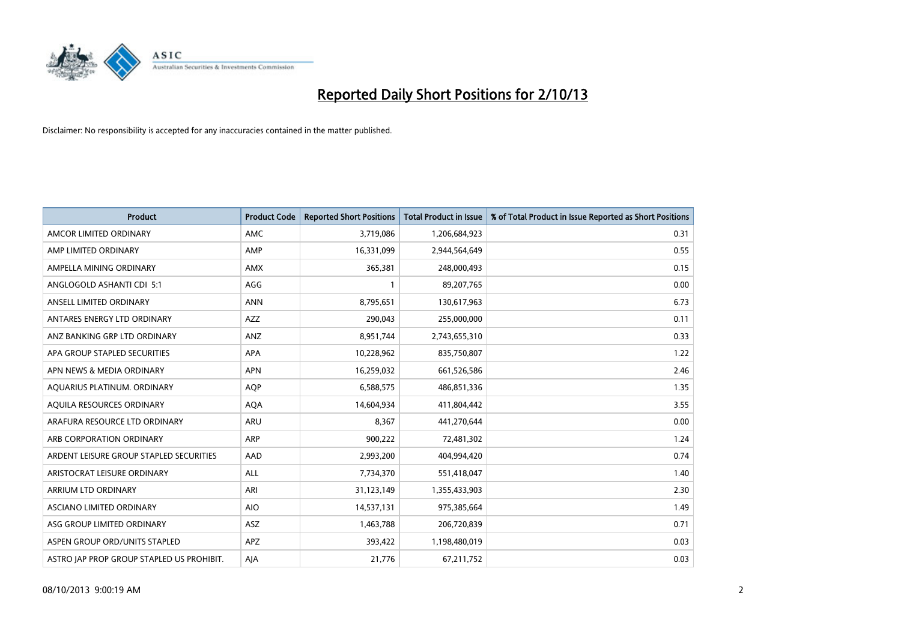

| <b>Product</b>                            | <b>Product Code</b> | <b>Reported Short Positions</b> | <b>Total Product in Issue</b> | % of Total Product in Issue Reported as Short Positions |
|-------------------------------------------|---------------------|---------------------------------|-------------------------------|---------------------------------------------------------|
| AMCOR LIMITED ORDINARY                    | AMC                 | 3,719,086                       | 1,206,684,923                 | 0.31                                                    |
| AMP LIMITED ORDINARY                      | AMP                 | 16,331,099                      | 2,944,564,649                 | 0.55                                                    |
| AMPELLA MINING ORDINARY                   | AMX                 | 365,381                         | 248,000,493                   | 0.15                                                    |
| ANGLOGOLD ASHANTI CDI 5:1                 | AGG                 | $\mathbf{1}$                    | 89,207,765                    | 0.00                                                    |
| ANSELL LIMITED ORDINARY                   | <b>ANN</b>          | 8,795,651                       | 130,617,963                   | 6.73                                                    |
| ANTARES ENERGY LTD ORDINARY               | AZZ                 | 290,043                         | 255,000,000                   | 0.11                                                    |
| ANZ BANKING GRP LTD ORDINARY              | ANZ                 | 8,951,744                       | 2,743,655,310                 | 0.33                                                    |
| APA GROUP STAPLED SECURITIES              | <b>APA</b>          | 10,228,962                      | 835,750,807                   | 1.22                                                    |
| APN NEWS & MEDIA ORDINARY                 | <b>APN</b>          | 16,259,032                      | 661,526,586                   | 2.46                                                    |
| AOUARIUS PLATINUM. ORDINARY               | <b>AOP</b>          | 6,588,575                       | 486,851,336                   | 1.35                                                    |
| AQUILA RESOURCES ORDINARY                 | <b>AQA</b>          | 14,604,934                      | 411,804,442                   | 3.55                                                    |
| ARAFURA RESOURCE LTD ORDINARY             | ARU                 | 8,367                           | 441,270,644                   | 0.00                                                    |
| ARB CORPORATION ORDINARY                  | ARP                 | 900,222                         | 72,481,302                    | 1.24                                                    |
| ARDENT LEISURE GROUP STAPLED SECURITIES   | AAD                 | 2,993,200                       | 404,994,420                   | 0.74                                                    |
| ARISTOCRAT LEISURE ORDINARY               | ALL                 | 7,734,370                       | 551,418,047                   | 1.40                                                    |
| ARRIUM LTD ORDINARY                       | ARI                 | 31,123,149                      | 1,355,433,903                 | 2.30                                                    |
| ASCIANO LIMITED ORDINARY                  | <b>AIO</b>          | 14,537,131                      | 975,385,664                   | 1.49                                                    |
| ASG GROUP LIMITED ORDINARY                | ASZ                 | 1,463,788                       | 206,720,839                   | 0.71                                                    |
| ASPEN GROUP ORD/UNITS STAPLED             | APZ                 | 393,422                         | 1,198,480,019                 | 0.03                                                    |
| ASTRO JAP PROP GROUP STAPLED US PROHIBIT. | AJA                 | 21,776                          | 67,211,752                    | 0.03                                                    |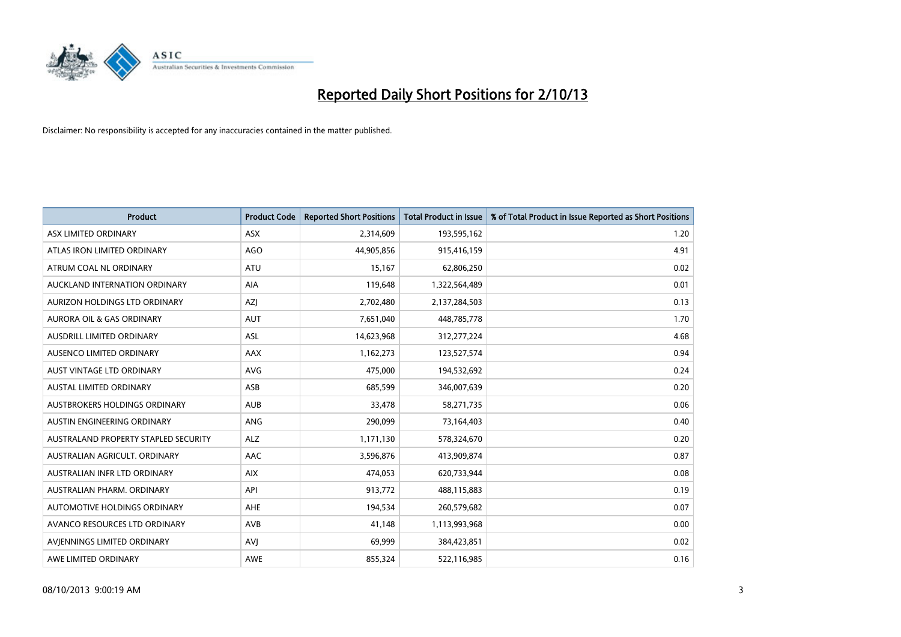

| <b>Product</b>                       | <b>Product Code</b> | <b>Reported Short Positions</b> | <b>Total Product in Issue</b> | % of Total Product in Issue Reported as Short Positions |
|--------------------------------------|---------------------|---------------------------------|-------------------------------|---------------------------------------------------------|
| ASX LIMITED ORDINARY                 | ASX                 | 2,314,609                       | 193,595,162                   | 1.20                                                    |
| ATLAS IRON LIMITED ORDINARY          | <b>AGO</b>          | 44,905,856                      | 915,416,159                   | 4.91                                                    |
| ATRUM COAL NL ORDINARY               | <b>ATU</b>          | 15,167                          | 62,806,250                    | 0.02                                                    |
| AUCKLAND INTERNATION ORDINARY        | <b>AIA</b>          | 119,648                         | 1,322,564,489                 | 0.01                                                    |
| AURIZON HOLDINGS LTD ORDINARY        | AZJ                 | 2,702,480                       | 2,137,284,503                 | 0.13                                                    |
| <b>AURORA OIL &amp; GAS ORDINARY</b> | AUT                 | 7,651,040                       | 448,785,778                   | 1.70                                                    |
| AUSDRILL LIMITED ORDINARY            | ASL                 | 14,623,968                      | 312,277,224                   | 4.68                                                    |
| AUSENCO LIMITED ORDINARY             | AAX                 | 1,162,273                       | 123,527,574                   | 0.94                                                    |
| AUST VINTAGE LTD ORDINARY            | <b>AVG</b>          | 475,000                         | 194,532,692                   | 0.24                                                    |
| <b>AUSTAL LIMITED ORDINARY</b>       | ASB                 | 685,599                         | 346,007,639                   | 0.20                                                    |
| AUSTBROKERS HOLDINGS ORDINARY        | <b>AUB</b>          | 33,478                          | 58,271,735                    | 0.06                                                    |
| AUSTIN ENGINEERING ORDINARY          | ANG                 | 290,099                         | 73,164,403                    | 0.40                                                    |
| AUSTRALAND PROPERTY STAPLED SECURITY | <b>ALZ</b>          | 1,171,130                       | 578,324,670                   | 0.20                                                    |
| AUSTRALIAN AGRICULT, ORDINARY        | AAC                 | 3,596,876                       | 413,909,874                   | 0.87                                                    |
| AUSTRALIAN INFR LTD ORDINARY         | <b>AIX</b>          | 474,053                         | 620,733,944                   | 0.08                                                    |
| AUSTRALIAN PHARM. ORDINARY           | API                 | 913,772                         | 488,115,883                   | 0.19                                                    |
| AUTOMOTIVE HOLDINGS ORDINARY         | AHE                 | 194,534                         | 260,579,682                   | 0.07                                                    |
| AVANCO RESOURCES LTD ORDINARY        | AVB                 | 41,148                          | 1,113,993,968                 | 0.00                                                    |
| AVIENNINGS LIMITED ORDINARY          | <b>AVI</b>          | 69,999                          | 384,423,851                   | 0.02                                                    |
| AWE LIMITED ORDINARY                 | <b>AWE</b>          | 855,324                         | 522,116,985                   | 0.16                                                    |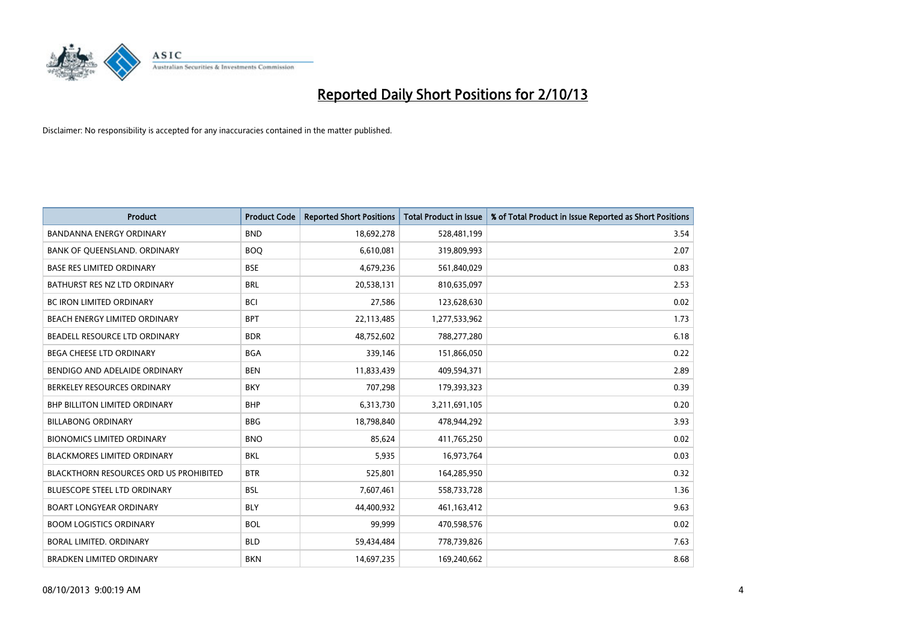

| <b>Product</b>                                | <b>Product Code</b> | <b>Reported Short Positions</b> | <b>Total Product in Issue</b> | % of Total Product in Issue Reported as Short Positions |
|-----------------------------------------------|---------------------|---------------------------------|-------------------------------|---------------------------------------------------------|
| <b>BANDANNA ENERGY ORDINARY</b>               | <b>BND</b>          | 18,692,278                      | 528,481,199                   | 3.54                                                    |
| BANK OF QUEENSLAND. ORDINARY                  | <b>BOO</b>          | 6,610,081                       | 319,809,993                   | 2.07                                                    |
| <b>BASE RES LIMITED ORDINARY</b>              | <b>BSE</b>          | 4,679,236                       | 561,840,029                   | 0.83                                                    |
| BATHURST RES NZ LTD ORDINARY                  | <b>BRL</b>          | 20,538,131                      | 810,635,097                   | 2.53                                                    |
| <b>BC IRON LIMITED ORDINARY</b>               | <b>BCI</b>          | 27,586                          | 123,628,630                   | 0.02                                                    |
| BEACH ENERGY LIMITED ORDINARY                 | <b>BPT</b>          | 22,113,485                      | 1,277,533,962                 | 1.73                                                    |
| BEADELL RESOURCE LTD ORDINARY                 | <b>BDR</b>          | 48,752,602                      | 788,277,280                   | 6.18                                                    |
| BEGA CHEESE LTD ORDINARY                      | <b>BGA</b>          | 339,146                         | 151,866,050                   | 0.22                                                    |
| BENDIGO AND ADELAIDE ORDINARY                 | <b>BEN</b>          | 11,833,439                      | 409,594,371                   | 2.89                                                    |
| BERKELEY RESOURCES ORDINARY                   | <b>BKY</b>          | 707,298                         | 179,393,323                   | 0.39                                                    |
| BHP BILLITON LIMITED ORDINARY                 | <b>BHP</b>          | 6,313,730                       | 3,211,691,105                 | 0.20                                                    |
| <b>BILLABONG ORDINARY</b>                     | <b>BBG</b>          | 18,798,840                      | 478,944,292                   | 3.93                                                    |
| <b>BIONOMICS LIMITED ORDINARY</b>             | <b>BNO</b>          | 85,624                          | 411,765,250                   | 0.02                                                    |
| <b>BLACKMORES LIMITED ORDINARY</b>            | <b>BKL</b>          | 5,935                           | 16,973,764                    | 0.03                                                    |
| <b>BLACKTHORN RESOURCES ORD US PROHIBITED</b> | <b>BTR</b>          | 525,801                         | 164,285,950                   | 0.32                                                    |
| BLUESCOPE STEEL LTD ORDINARY                  | <b>BSL</b>          | 7,607,461                       | 558,733,728                   | 1.36                                                    |
| <b>BOART LONGYEAR ORDINARY</b>                | <b>BLY</b>          | 44,400,932                      | 461,163,412                   | 9.63                                                    |
| <b>BOOM LOGISTICS ORDINARY</b>                | <b>BOL</b>          | 99,999                          | 470,598,576                   | 0.02                                                    |
| <b>BORAL LIMITED, ORDINARY</b>                | <b>BLD</b>          | 59,434,484                      | 778,739,826                   | 7.63                                                    |
| <b>BRADKEN LIMITED ORDINARY</b>               | <b>BKN</b>          | 14,697,235                      | 169,240,662                   | 8.68                                                    |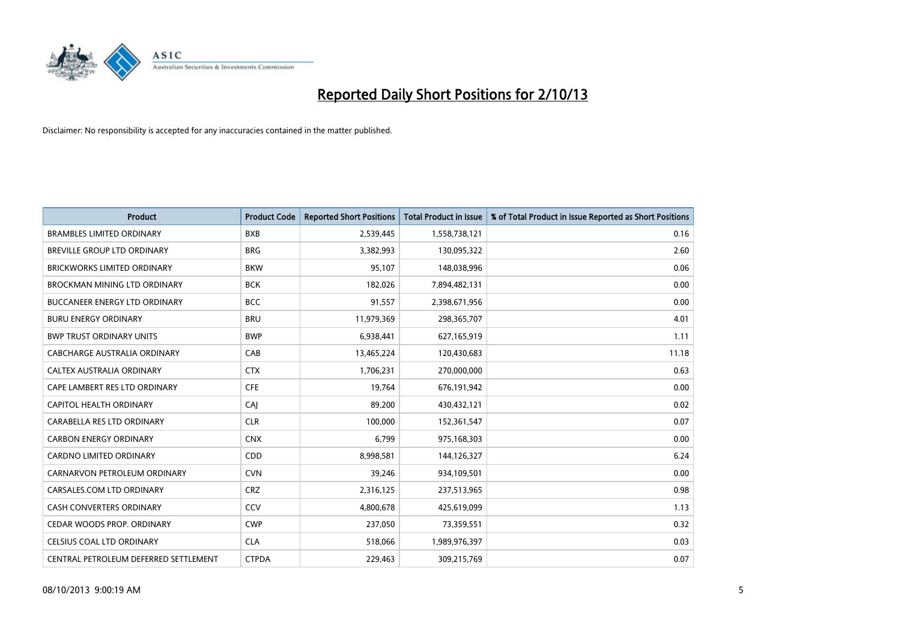

| <b>Product</b>                        | <b>Product Code</b> | <b>Reported Short Positions</b> | <b>Total Product in Issue</b> | % of Total Product in Issue Reported as Short Positions |
|---------------------------------------|---------------------|---------------------------------|-------------------------------|---------------------------------------------------------|
| <b>BRAMBLES LIMITED ORDINARY</b>      | <b>BXB</b>          | 2,539,445                       | 1,558,738,121                 | 0.16                                                    |
| BREVILLE GROUP LTD ORDINARY           | <b>BRG</b>          | 3,382,993                       | 130,095,322                   | 2.60                                                    |
| <b>BRICKWORKS LIMITED ORDINARY</b>    | <b>BKW</b>          | 95,107                          | 148,038,996                   | 0.06                                                    |
| <b>BROCKMAN MINING LTD ORDINARY</b>   | <b>BCK</b>          | 182,026                         | 7,894,482,131                 | 0.00                                                    |
| <b>BUCCANEER ENERGY LTD ORDINARY</b>  | <b>BCC</b>          | 91,557                          | 2,398,671,956                 | 0.00                                                    |
| <b>BURU ENERGY ORDINARY</b>           | <b>BRU</b>          | 11,979,369                      | 298,365,707                   | 4.01                                                    |
| <b>BWP TRUST ORDINARY UNITS</b>       | <b>BWP</b>          | 6,938,441                       | 627,165,919                   | 1.11                                                    |
| <b>CABCHARGE AUSTRALIA ORDINARY</b>   | CAB                 | 13,465,224                      | 120,430,683                   | 11.18                                                   |
| CALTEX AUSTRALIA ORDINARY             | <b>CTX</b>          | 1,706,231                       | 270,000,000                   | 0.63                                                    |
| CAPE LAMBERT RES LTD ORDINARY         | <b>CFE</b>          | 19,764                          | 676,191,942                   | 0.00                                                    |
| CAPITOL HEALTH ORDINARY               | CAJ                 | 89,200                          | 430,432,121                   | 0.02                                                    |
| CARABELLA RES LTD ORDINARY            | <b>CLR</b>          | 100,000                         | 152,361,547                   | 0.07                                                    |
| <b>CARBON ENERGY ORDINARY</b>         | <b>CNX</b>          | 6,799                           | 975,168,303                   | 0.00                                                    |
| <b>CARDNO LIMITED ORDINARY</b>        | CDD                 | 8,998,581                       | 144,126,327                   | 6.24                                                    |
| CARNARVON PETROLEUM ORDINARY          | <b>CVN</b>          | 39,246                          | 934,109,501                   | 0.00                                                    |
| CARSALES.COM LTD ORDINARY             | <b>CRZ</b>          | 2,316,125                       | 237,513,965                   | 0.98                                                    |
| <b>CASH CONVERTERS ORDINARY</b>       | CCV                 | 4,800,678                       | 425,619,099                   | 1.13                                                    |
| CEDAR WOODS PROP. ORDINARY            | <b>CWP</b>          | 237,050                         | 73,359,551                    | 0.32                                                    |
| CELSIUS COAL LTD ORDINARY             | <b>CLA</b>          | 518,066                         | 1,989,976,397                 | 0.03                                                    |
| CENTRAL PETROLEUM DEFERRED SETTLEMENT | <b>CTPDA</b>        | 229,463                         | 309,215,769                   | 0.07                                                    |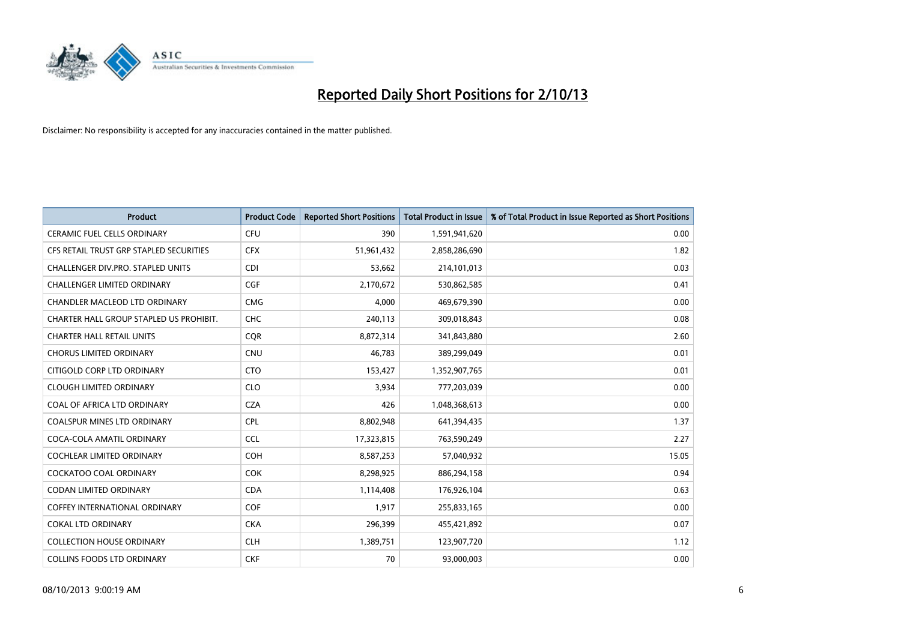

| <b>Product</b>                          | <b>Product Code</b> | <b>Reported Short Positions</b> | <b>Total Product in Issue</b> | % of Total Product in Issue Reported as Short Positions |
|-----------------------------------------|---------------------|---------------------------------|-------------------------------|---------------------------------------------------------|
| <b>CERAMIC FUEL CELLS ORDINARY</b>      | <b>CFU</b>          | 390                             | 1,591,941,620                 | 0.00                                                    |
| CFS RETAIL TRUST GRP STAPLED SECURITIES | <b>CFX</b>          | 51,961,432                      | 2,858,286,690                 | 1.82                                                    |
| CHALLENGER DIV.PRO. STAPLED UNITS       | <b>CDI</b>          | 53,662                          | 214,101,013                   | 0.03                                                    |
| CHALLENGER LIMITED ORDINARY             | <b>CGF</b>          | 2,170,672                       | 530,862,585                   | 0.41                                                    |
| CHANDLER MACLEOD LTD ORDINARY           | <b>CMG</b>          | 4,000                           | 469,679,390                   | 0.00                                                    |
| CHARTER HALL GROUP STAPLED US PROHIBIT. | <b>CHC</b>          | 240,113                         | 309,018,843                   | 0.08                                                    |
| <b>CHARTER HALL RETAIL UNITS</b>        | <b>COR</b>          | 8,872,314                       | 341,843,880                   | 2.60                                                    |
| <b>CHORUS LIMITED ORDINARY</b>          | <b>CNU</b>          | 46,783                          | 389,299,049                   | 0.01                                                    |
| CITIGOLD CORP LTD ORDINARY              | <b>CTO</b>          | 153,427                         | 1,352,907,765                 | 0.01                                                    |
| <b>CLOUGH LIMITED ORDINARY</b>          | <b>CLO</b>          | 3,934                           | 777,203,039                   | 0.00                                                    |
| COAL OF AFRICA LTD ORDINARY             | <b>CZA</b>          | 426                             | 1,048,368,613                 | 0.00                                                    |
| <b>COALSPUR MINES LTD ORDINARY</b>      | <b>CPL</b>          | 8,802,948                       | 641,394,435                   | 1.37                                                    |
| COCA-COLA AMATIL ORDINARY               | <b>CCL</b>          | 17,323,815                      | 763,590,249                   | 2.27                                                    |
| COCHLEAR LIMITED ORDINARY               | <b>COH</b>          | 8,587,253                       | 57,040,932                    | 15.05                                                   |
| <b>COCKATOO COAL ORDINARY</b>           | <b>COK</b>          | 8,298,925                       | 886,294,158                   | 0.94                                                    |
| CODAN LIMITED ORDINARY                  | <b>CDA</b>          | 1,114,408                       | 176,926,104                   | 0.63                                                    |
| COFFEY INTERNATIONAL ORDINARY           | <b>COF</b>          | 1,917                           | 255,833,165                   | 0.00                                                    |
| <b>COKAL LTD ORDINARY</b>               | <b>CKA</b>          | 296,399                         | 455,421,892                   | 0.07                                                    |
| <b>COLLECTION HOUSE ORDINARY</b>        | <b>CLH</b>          | 1,389,751                       | 123,907,720                   | 1.12                                                    |
| <b>COLLINS FOODS LTD ORDINARY</b>       | <b>CKF</b>          | 70                              | 93,000,003                    | 0.00                                                    |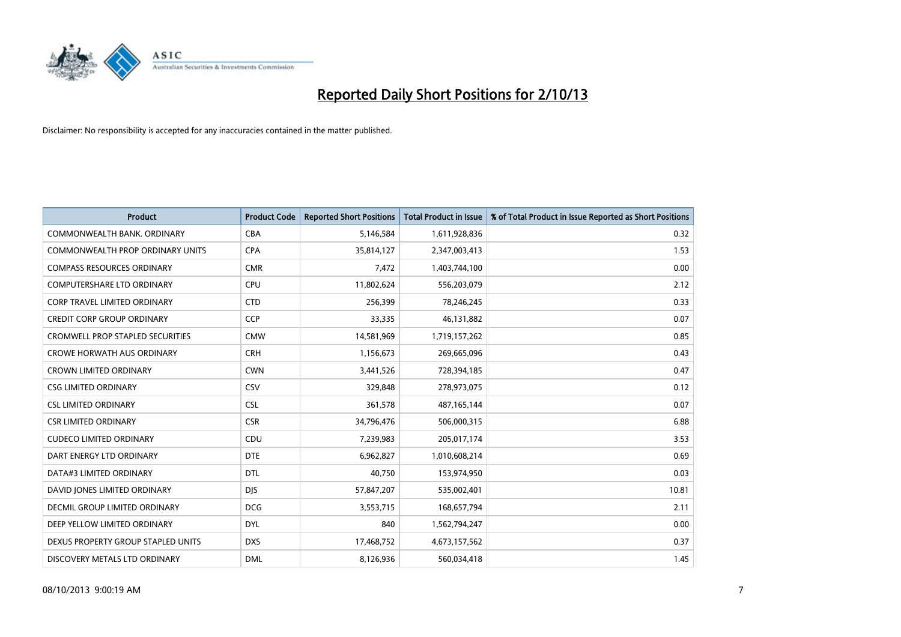

| <b>Product</b>                      | <b>Product Code</b> | <b>Reported Short Positions</b> | <b>Total Product in Issue</b> | % of Total Product in Issue Reported as Short Positions |
|-------------------------------------|---------------------|---------------------------------|-------------------------------|---------------------------------------------------------|
| COMMONWEALTH BANK, ORDINARY         | <b>CBA</b>          | 5,146,584                       | 1,611,928,836                 | 0.32                                                    |
| COMMONWEALTH PROP ORDINARY UNITS    | <b>CPA</b>          | 35,814,127                      | 2,347,003,413                 | 1.53                                                    |
| <b>COMPASS RESOURCES ORDINARY</b>   | <b>CMR</b>          | 7,472                           | 1,403,744,100                 | 0.00                                                    |
| <b>COMPUTERSHARE LTD ORDINARY</b>   | <b>CPU</b>          | 11,802,624                      | 556,203,079                   | 2.12                                                    |
| <b>CORP TRAVEL LIMITED ORDINARY</b> | <b>CTD</b>          | 256,399                         | 78,246,245                    | 0.33                                                    |
| <b>CREDIT CORP GROUP ORDINARY</b>   | <b>CCP</b>          | 33,335                          | 46,131,882                    | 0.07                                                    |
| CROMWELL PROP STAPLED SECURITIES    | <b>CMW</b>          | 14,581,969                      | 1,719,157,262                 | 0.85                                                    |
| <b>CROWE HORWATH AUS ORDINARY</b>   | <b>CRH</b>          | 1,156,673                       | 269,665,096                   | 0.43                                                    |
| <b>CROWN LIMITED ORDINARY</b>       | <b>CWN</b>          | 3,441,526                       | 728,394,185                   | 0.47                                                    |
| <b>CSG LIMITED ORDINARY</b>         | CSV                 | 329,848                         | 278,973,075                   | 0.12                                                    |
| <b>CSL LIMITED ORDINARY</b>         | <b>CSL</b>          | 361,578                         | 487, 165, 144                 | 0.07                                                    |
| <b>CSR LIMITED ORDINARY</b>         | <b>CSR</b>          | 34,796,476                      | 506,000,315                   | 6.88                                                    |
| <b>CUDECO LIMITED ORDINARY</b>      | CDU                 | 7,239,983                       | 205,017,174                   | 3.53                                                    |
| DART ENERGY LTD ORDINARY            | <b>DTE</b>          | 6,962,827                       | 1,010,608,214                 | 0.69                                                    |
| DATA#3 LIMITED ORDINARY             | <b>DTL</b>          | 40,750                          | 153,974,950                   | 0.03                                                    |
| DAVID JONES LIMITED ORDINARY        | <b>DIS</b>          | 57,847,207                      | 535,002,401                   | 10.81                                                   |
| DECMIL GROUP LIMITED ORDINARY       | <b>DCG</b>          | 3,553,715                       | 168,657,794                   | 2.11                                                    |
| DEEP YELLOW LIMITED ORDINARY        | <b>DYL</b>          | 840                             | 1,562,794,247                 | 0.00                                                    |
| DEXUS PROPERTY GROUP STAPLED UNITS  | <b>DXS</b>          | 17,468,752                      | 4,673,157,562                 | 0.37                                                    |
| DISCOVERY METALS LTD ORDINARY       | <b>DML</b>          | 8,126,936                       | 560,034,418                   | 1.45                                                    |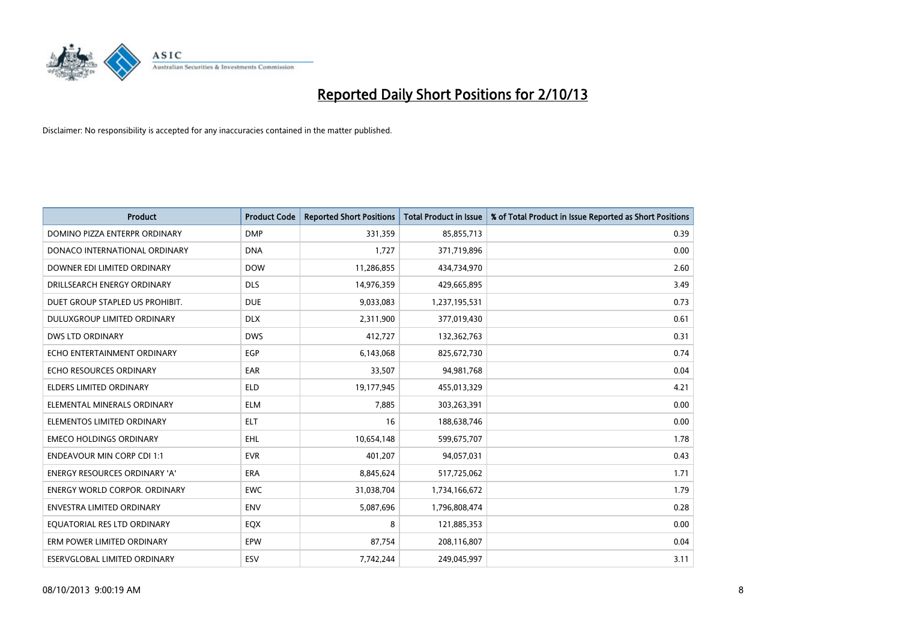

| <b>Product</b>                       | <b>Product Code</b> | <b>Reported Short Positions</b> | <b>Total Product in Issue</b> | % of Total Product in Issue Reported as Short Positions |
|--------------------------------------|---------------------|---------------------------------|-------------------------------|---------------------------------------------------------|
| DOMINO PIZZA ENTERPR ORDINARY        | <b>DMP</b>          | 331,359                         | 85,855,713                    | 0.39                                                    |
| DONACO INTERNATIONAL ORDINARY        | <b>DNA</b>          | 1,727                           | 371,719,896                   | 0.00                                                    |
| DOWNER EDI LIMITED ORDINARY          | <b>DOW</b>          | 11,286,855                      | 434,734,970                   | 2.60                                                    |
| DRILLSEARCH ENERGY ORDINARY          | <b>DLS</b>          | 14,976,359                      | 429,665,895                   | 3.49                                                    |
| DUET GROUP STAPLED US PROHIBIT.      | <b>DUE</b>          | 9,033,083                       | 1,237,195,531                 | 0.73                                                    |
| DULUXGROUP LIMITED ORDINARY          | <b>DLX</b>          | 2,311,900                       | 377,019,430                   | 0.61                                                    |
| <b>DWS LTD ORDINARY</b>              | <b>DWS</b>          | 412,727                         | 132,362,763                   | 0.31                                                    |
| ECHO ENTERTAINMENT ORDINARY          | <b>EGP</b>          | 6,143,068                       | 825,672,730                   | 0.74                                                    |
| ECHO RESOURCES ORDINARY              | EAR                 | 33,507                          | 94,981,768                    | 0.04                                                    |
| <b>ELDERS LIMITED ORDINARY</b>       | <b>ELD</b>          | 19,177,945                      | 455,013,329                   | 4.21                                                    |
| ELEMENTAL MINERALS ORDINARY          | <b>ELM</b>          | 7,885                           | 303,263,391                   | 0.00                                                    |
| ELEMENTOS LIMITED ORDINARY           | ELT                 | 16                              | 188,638,746                   | 0.00                                                    |
| <b>EMECO HOLDINGS ORDINARY</b>       | EHL                 | 10,654,148                      | 599,675,707                   | 1.78                                                    |
| <b>ENDEAVOUR MIN CORP CDI 1:1</b>    | <b>EVR</b>          | 401,207                         | 94,057,031                    | 0.43                                                    |
| ENERGY RESOURCES ORDINARY 'A'        | <b>ERA</b>          | 8,845,624                       | 517,725,062                   | 1.71                                                    |
| <b>ENERGY WORLD CORPOR, ORDINARY</b> | <b>EWC</b>          | 31,038,704                      | 1,734,166,672                 | 1.79                                                    |
| <b>ENVESTRA LIMITED ORDINARY</b>     | <b>ENV</b>          | 5,087,696                       | 1,796,808,474                 | 0.28                                                    |
| EQUATORIAL RES LTD ORDINARY          | EQX                 | 8                               | 121,885,353                   | 0.00                                                    |
| ERM POWER LIMITED ORDINARY           | EPW                 | 87,754                          | 208,116,807                   | 0.04                                                    |
| ESERVGLOBAL LIMITED ORDINARY         | ESV                 | 7,742,244                       | 249,045,997                   | 3.11                                                    |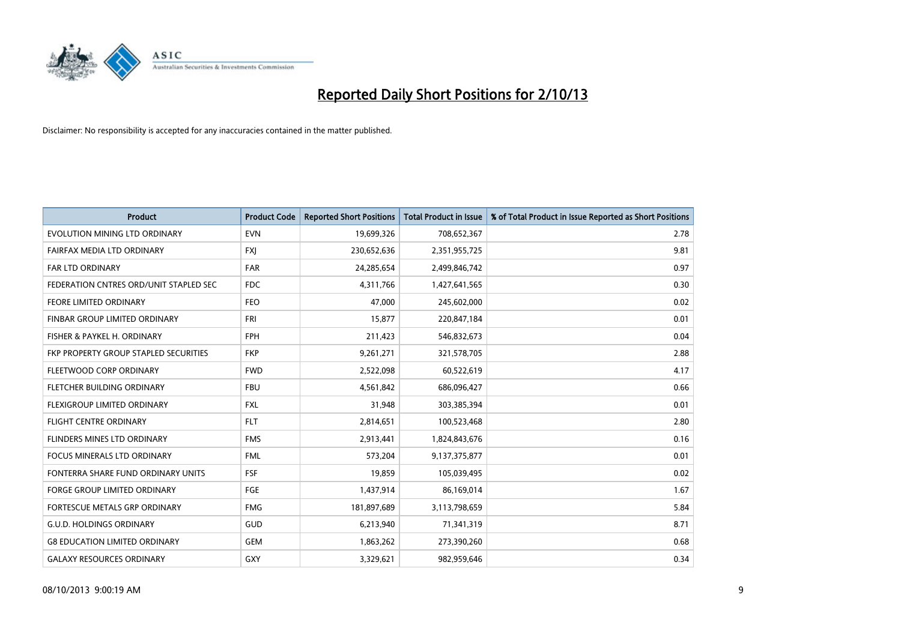

| <b>Product</b>                         | <b>Product Code</b> | <b>Reported Short Positions</b> | <b>Total Product in Issue</b> | % of Total Product in Issue Reported as Short Positions |
|----------------------------------------|---------------------|---------------------------------|-------------------------------|---------------------------------------------------------|
| EVOLUTION MINING LTD ORDINARY          | <b>EVN</b>          | 19,699,326                      | 708,652,367                   | 2.78                                                    |
| FAIRFAX MEDIA LTD ORDINARY             | <b>FXJ</b>          | 230,652,636                     | 2,351,955,725                 | 9.81                                                    |
| <b>FAR LTD ORDINARY</b>                | <b>FAR</b>          | 24,285,654                      | 2,499,846,742                 | 0.97                                                    |
| FEDERATION CNTRES ORD/UNIT STAPLED SEC | FDC                 | 4,311,766                       | 1,427,641,565                 | 0.30                                                    |
| <b>FEORE LIMITED ORDINARY</b>          | <b>FEO</b>          | 47,000                          | 245,602,000                   | 0.02                                                    |
| FINBAR GROUP LIMITED ORDINARY          | <b>FRI</b>          | 15,877                          | 220,847,184                   | 0.01                                                    |
| FISHER & PAYKEL H. ORDINARY            | <b>FPH</b>          | 211,423                         | 546,832,673                   | 0.04                                                    |
| FKP PROPERTY GROUP STAPLED SECURITIES  | <b>FKP</b>          | 9,261,271                       | 321,578,705                   | 2.88                                                    |
| FLEETWOOD CORP ORDINARY                | <b>FWD</b>          | 2,522,098                       | 60,522,619                    | 4.17                                                    |
| FLETCHER BUILDING ORDINARY             | <b>FBU</b>          | 4,561,842                       | 686,096,427                   | 0.66                                                    |
| FLEXIGROUP LIMITED ORDINARY            | <b>FXL</b>          | 31,948                          | 303,385,394                   | 0.01                                                    |
| <b>FLIGHT CENTRE ORDINARY</b>          | <b>FLT</b>          | 2,814,651                       | 100,523,468                   | 2.80                                                    |
| FLINDERS MINES LTD ORDINARY            | <b>FMS</b>          | 2,913,441                       | 1,824,843,676                 | 0.16                                                    |
| <b>FOCUS MINERALS LTD ORDINARY</b>     | <b>FML</b>          | 573,204                         | 9,137,375,877                 | 0.01                                                    |
| FONTERRA SHARE FUND ORDINARY UNITS     | <b>FSF</b>          | 19,859                          | 105,039,495                   | 0.02                                                    |
| FORGE GROUP LIMITED ORDINARY           | FGE                 | 1,437,914                       | 86,169,014                    | 1.67                                                    |
| FORTESCUE METALS GRP ORDINARY          | <b>FMG</b>          | 181,897,689                     | 3,113,798,659                 | 5.84                                                    |
| <b>G.U.D. HOLDINGS ORDINARY</b>        | GUD                 | 6,213,940                       | 71,341,319                    | 8.71                                                    |
| <b>G8 EDUCATION LIMITED ORDINARY</b>   | <b>GEM</b>          | 1,863,262                       | 273,390,260                   | 0.68                                                    |
| <b>GALAXY RESOURCES ORDINARY</b>       | GXY                 | 3,329,621                       | 982,959,646                   | 0.34                                                    |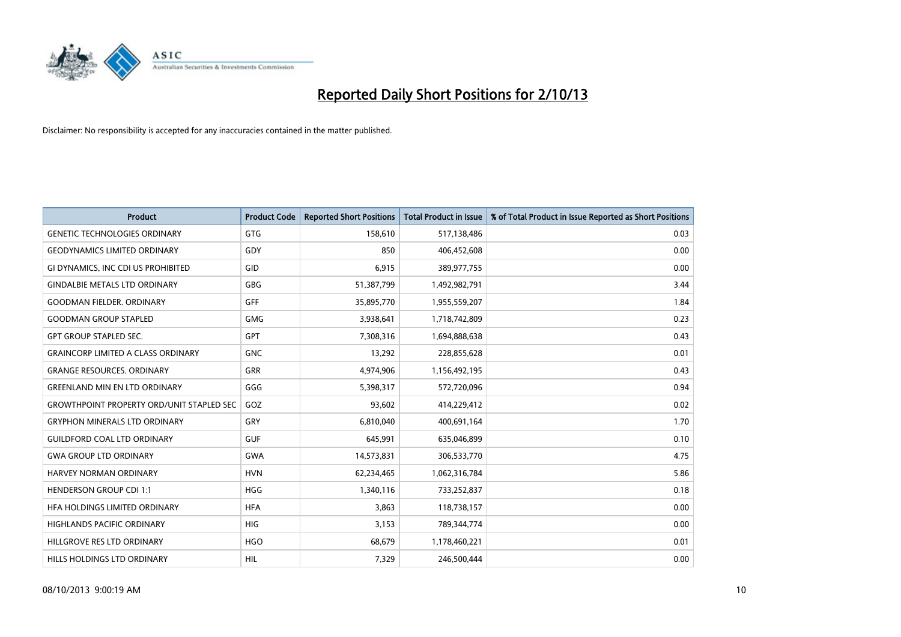

| <b>Product</b>                                   | <b>Product Code</b> | <b>Reported Short Positions</b> | <b>Total Product in Issue</b> | % of Total Product in Issue Reported as Short Positions |
|--------------------------------------------------|---------------------|---------------------------------|-------------------------------|---------------------------------------------------------|
| <b>GENETIC TECHNOLOGIES ORDINARY</b>             | <b>GTG</b>          | 158,610                         | 517,138,486                   | 0.03                                                    |
| <b>GEODYNAMICS LIMITED ORDINARY</b>              | GDY                 | 850                             | 406,452,608                   | 0.00                                                    |
| GI DYNAMICS, INC CDI US PROHIBITED               | GID                 | 6,915                           | 389,977,755                   | 0.00                                                    |
| <b>GINDALBIE METALS LTD ORDINARY</b>             | GBG                 | 51,387,799                      | 1,492,982,791                 | 3.44                                                    |
| <b>GOODMAN FIELDER, ORDINARY</b>                 | <b>GFF</b>          | 35,895,770                      | 1,955,559,207                 | 1.84                                                    |
| <b>GOODMAN GROUP STAPLED</b>                     | <b>GMG</b>          | 3,938,641                       | 1,718,742,809                 | 0.23                                                    |
| <b>GPT GROUP STAPLED SEC.</b>                    | GPT                 | 7,308,316                       | 1,694,888,638                 | 0.43                                                    |
| <b>GRAINCORP LIMITED A CLASS ORDINARY</b>        | <b>GNC</b>          | 13,292                          | 228,855,628                   | 0.01                                                    |
| <b>GRANGE RESOURCES, ORDINARY</b>                | <b>GRR</b>          | 4,974,906                       | 1,156,492,195                 | 0.43                                                    |
| <b>GREENLAND MIN EN LTD ORDINARY</b>             | GGG                 | 5,398,317                       | 572,720,096                   | 0.94                                                    |
| <b>GROWTHPOINT PROPERTY ORD/UNIT STAPLED SEC</b> | GOZ                 | 93,602                          | 414,229,412                   | 0.02                                                    |
| <b>GRYPHON MINERALS LTD ORDINARY</b>             | GRY                 | 6,810,040                       | 400,691,164                   | 1.70                                                    |
| <b>GUILDFORD COAL LTD ORDINARY</b>               | <b>GUF</b>          | 645,991                         | 635,046,899                   | 0.10                                                    |
| <b>GWA GROUP LTD ORDINARY</b>                    | <b>GWA</b>          | 14,573,831                      | 306,533,770                   | 4.75                                                    |
| <b>HARVEY NORMAN ORDINARY</b>                    | <b>HVN</b>          | 62,234,465                      | 1,062,316,784                 | 5.86                                                    |
| <b>HENDERSON GROUP CDI 1:1</b>                   | <b>HGG</b>          | 1,340,116                       | 733,252,837                   | 0.18                                                    |
| HFA HOLDINGS LIMITED ORDINARY                    | <b>HFA</b>          | 3,863                           | 118,738,157                   | 0.00                                                    |
| <b>HIGHLANDS PACIFIC ORDINARY</b>                | <b>HIG</b>          | 3,153                           | 789,344,774                   | 0.00                                                    |
| HILLGROVE RES LTD ORDINARY                       | <b>HGO</b>          | 68,679                          | 1,178,460,221                 | 0.01                                                    |
| HILLS HOLDINGS LTD ORDINARY                      | HIL                 | 7,329                           | 246,500,444                   | 0.00                                                    |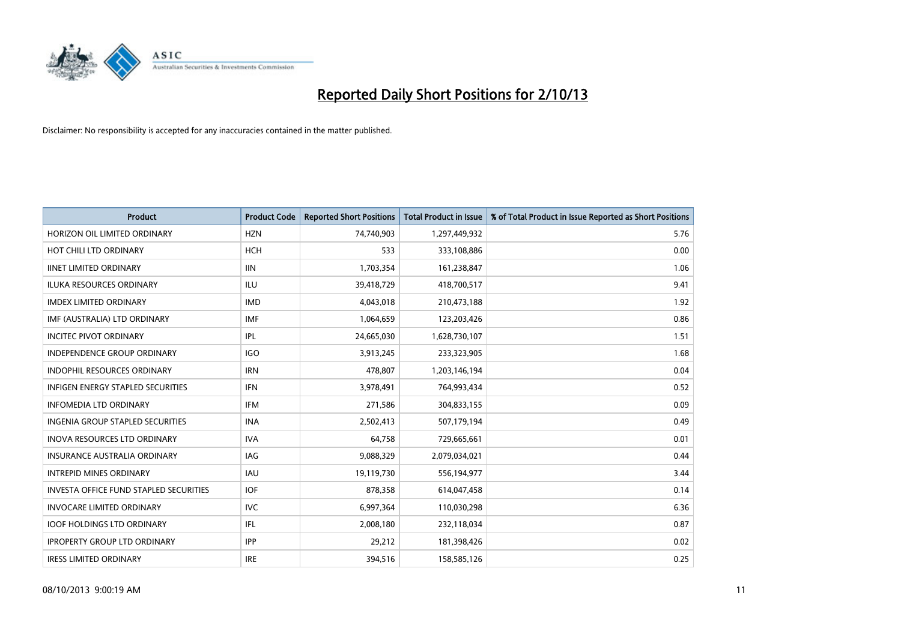

| <b>Product</b>                                | <b>Product Code</b> | <b>Reported Short Positions</b> | <b>Total Product in Issue</b> | % of Total Product in Issue Reported as Short Positions |
|-----------------------------------------------|---------------------|---------------------------------|-------------------------------|---------------------------------------------------------|
| HORIZON OIL LIMITED ORDINARY                  | <b>HZN</b>          | 74,740,903                      | 1,297,449,932                 | 5.76                                                    |
| HOT CHILI LTD ORDINARY                        | <b>HCH</b>          | 533                             | 333,108,886                   | 0.00                                                    |
| <b>IINET LIMITED ORDINARY</b>                 | <b>IIN</b>          | 1,703,354                       | 161,238,847                   | 1.06                                                    |
| ILUKA RESOURCES ORDINARY                      | ILU                 | 39,418,729                      | 418,700,517                   | 9.41                                                    |
| <b>IMDEX LIMITED ORDINARY</b>                 | <b>IMD</b>          | 4,043,018                       | 210,473,188                   | 1.92                                                    |
| IMF (AUSTRALIA) LTD ORDINARY                  | <b>IMF</b>          | 1,064,659                       | 123,203,426                   | 0.86                                                    |
| <b>INCITEC PIVOT ORDINARY</b>                 | IPL                 | 24,665,030                      | 1,628,730,107                 | 1.51                                                    |
| <b>INDEPENDENCE GROUP ORDINARY</b>            | <b>IGO</b>          | 3,913,245                       | 233,323,905                   | 1.68                                                    |
| <b>INDOPHIL RESOURCES ORDINARY</b>            | <b>IRN</b>          | 478,807                         | 1,203,146,194                 | 0.04                                                    |
| <b>INFIGEN ENERGY STAPLED SECURITIES</b>      | <b>IFN</b>          | 3,978,491                       | 764,993,434                   | 0.52                                                    |
| <b>INFOMEDIA LTD ORDINARY</b>                 | IFM                 | 271,586                         | 304,833,155                   | 0.09                                                    |
| <b>INGENIA GROUP STAPLED SECURITIES</b>       | <b>INA</b>          | 2,502,413                       | 507,179,194                   | 0.49                                                    |
| <b>INOVA RESOURCES LTD ORDINARY</b>           | <b>IVA</b>          | 64.758                          | 729,665,661                   | 0.01                                                    |
| <b>INSURANCE AUSTRALIA ORDINARY</b>           | IAG                 | 9,088,329                       | 2,079,034,021                 | 0.44                                                    |
| <b>INTREPID MINES ORDINARY</b>                | IAU                 | 19,119,730                      | 556,194,977                   | 3.44                                                    |
| <b>INVESTA OFFICE FUND STAPLED SECURITIES</b> | <b>IOF</b>          | 878,358                         | 614,047,458                   | 0.14                                                    |
| <b>INVOCARE LIMITED ORDINARY</b>              | <b>IVC</b>          | 6,997,364                       | 110,030,298                   | 6.36                                                    |
| <b>IOOF HOLDINGS LTD ORDINARY</b>             | IFL                 | 2,008,180                       | 232,118,034                   | 0.87                                                    |
| <b>IPROPERTY GROUP LTD ORDINARY</b>           | <b>IPP</b>          | 29,212                          | 181,398,426                   | 0.02                                                    |
| <b>IRESS LIMITED ORDINARY</b>                 | <b>IRE</b>          | 394,516                         | 158,585,126                   | 0.25                                                    |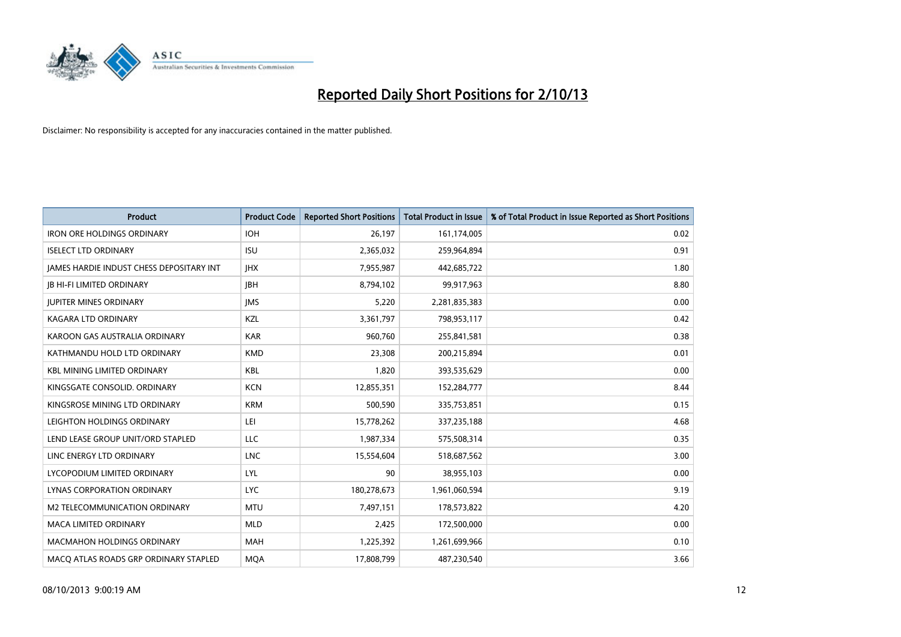

| <b>Product</b>                           | <b>Product Code</b> | <b>Reported Short Positions</b> | <b>Total Product in Issue</b> | % of Total Product in Issue Reported as Short Positions |
|------------------------------------------|---------------------|---------------------------------|-------------------------------|---------------------------------------------------------|
| <b>IRON ORE HOLDINGS ORDINARY</b>        | <b>IOH</b>          | 26,197                          | 161,174,005                   | 0.02                                                    |
| <b>ISELECT LTD ORDINARY</b>              | <b>ISU</b>          | 2,365,032                       | 259,964,894                   | 0.91                                                    |
| JAMES HARDIE INDUST CHESS DEPOSITARY INT | <b>IHX</b>          | 7,955,987                       | 442,685,722                   | 1.80                                                    |
| <b>JB HI-FI LIMITED ORDINARY</b>         | <b>IBH</b>          | 8,794,102                       | 99,917,963                    | 8.80                                                    |
| <b>IUPITER MINES ORDINARY</b>            | <b>IMS</b>          | 5,220                           | 2,281,835,383                 | 0.00                                                    |
| <b>KAGARA LTD ORDINARY</b>               | KZL                 | 3,361,797                       | 798,953,117                   | 0.42                                                    |
| KAROON GAS AUSTRALIA ORDINARY            | <b>KAR</b>          | 960,760                         | 255,841,581                   | 0.38                                                    |
| KATHMANDU HOLD LTD ORDINARY              | <b>KMD</b>          | 23,308                          | 200,215,894                   | 0.01                                                    |
| <b>KBL MINING LIMITED ORDINARY</b>       | <b>KBL</b>          | 1,820                           | 393,535,629                   | 0.00                                                    |
| KINGSGATE CONSOLID. ORDINARY             | <b>KCN</b>          | 12,855,351                      | 152,284,777                   | 8.44                                                    |
| KINGSROSE MINING LTD ORDINARY            | <b>KRM</b>          | 500,590                         | 335,753,851                   | 0.15                                                    |
| LEIGHTON HOLDINGS ORDINARY               | LEI                 | 15,778,262                      | 337,235,188                   | 4.68                                                    |
| LEND LEASE GROUP UNIT/ORD STAPLED        | <b>LLC</b>          | 1,987,334                       | 575,508,314                   | 0.35                                                    |
| LINC ENERGY LTD ORDINARY                 | <b>LNC</b>          | 15,554,604                      | 518,687,562                   | 3.00                                                    |
| LYCOPODIUM LIMITED ORDINARY              | <b>LYL</b>          | 90                              | 38,955,103                    | 0.00                                                    |
| LYNAS CORPORATION ORDINARY               | <b>LYC</b>          | 180,278,673                     | 1,961,060,594                 | 9.19                                                    |
| M2 TELECOMMUNICATION ORDINARY            | <b>MTU</b>          | 7,497,151                       | 178,573,822                   | 4.20                                                    |
| <b>MACA LIMITED ORDINARY</b>             | <b>MLD</b>          | 2,425                           | 172,500,000                   | 0.00                                                    |
| <b>MACMAHON HOLDINGS ORDINARY</b>        | <b>MAH</b>          | 1,225,392                       | 1,261,699,966                 | 0.10                                                    |
| MACO ATLAS ROADS GRP ORDINARY STAPLED    | <b>MQA</b>          | 17,808,799                      | 487,230,540                   | 3.66                                                    |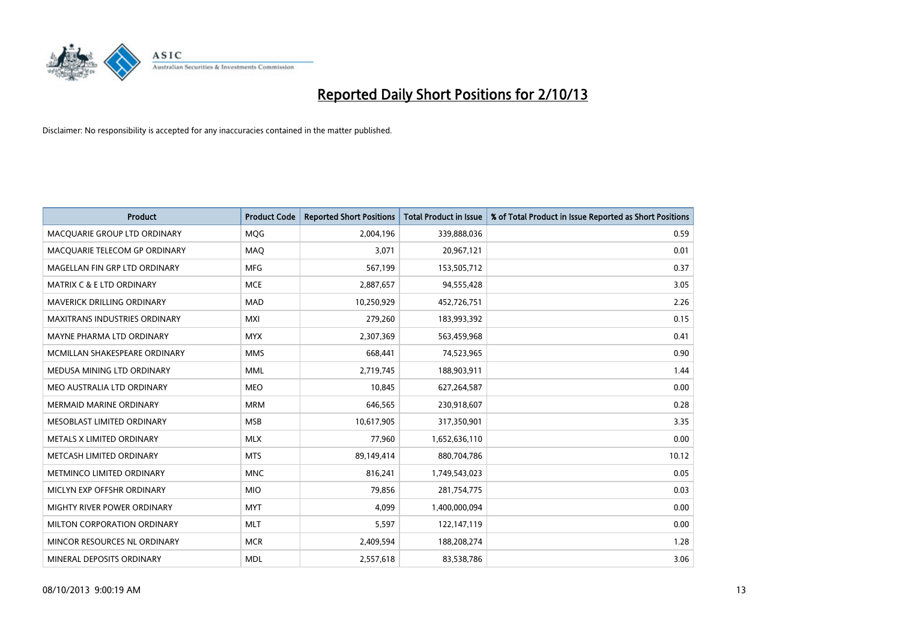

| <b>Product</b>                       | <b>Product Code</b> | <b>Reported Short Positions</b> | <b>Total Product in Issue</b> | % of Total Product in Issue Reported as Short Positions |
|--------------------------------------|---------------------|---------------------------------|-------------------------------|---------------------------------------------------------|
| MACOUARIE GROUP LTD ORDINARY         | <b>MOG</b>          | 2,004,196                       | 339,888,036                   | 0.59                                                    |
| MACQUARIE TELECOM GP ORDINARY        | MAQ                 | 3,071                           | 20,967,121                    | 0.01                                                    |
| MAGELLAN FIN GRP LTD ORDINARY        | <b>MFG</b>          | 567,199                         | 153,505,712                   | 0.37                                                    |
| <b>MATRIX C &amp; E LTD ORDINARY</b> | <b>MCE</b>          | 2,887,657                       | 94,555,428                    | 3.05                                                    |
| MAVERICK DRILLING ORDINARY           | <b>MAD</b>          | 10,250,929                      | 452,726,751                   | 2.26                                                    |
| <b>MAXITRANS INDUSTRIES ORDINARY</b> | <b>MXI</b>          | 279,260                         | 183,993,392                   | 0.15                                                    |
| MAYNE PHARMA LTD ORDINARY            | <b>MYX</b>          | 2,307,369                       | 563,459,968                   | 0.41                                                    |
| MCMILLAN SHAKESPEARE ORDINARY        | <b>MMS</b>          | 668,441                         | 74,523,965                    | 0.90                                                    |
| MEDUSA MINING LTD ORDINARY           | <b>MML</b>          | 2,719,745                       | 188,903,911                   | 1.44                                                    |
| MEO AUSTRALIA LTD ORDINARY           | <b>MEO</b>          | 10,845                          | 627,264,587                   | 0.00                                                    |
| <b>MERMAID MARINE ORDINARY</b>       | <b>MRM</b>          | 646,565                         | 230,918,607                   | 0.28                                                    |
| MESOBLAST LIMITED ORDINARY           | <b>MSB</b>          | 10,617,905                      | 317,350,901                   | 3.35                                                    |
| METALS X LIMITED ORDINARY            | <b>MLX</b>          | 77,960                          | 1,652,636,110                 | 0.00                                                    |
| METCASH LIMITED ORDINARY             | <b>MTS</b>          | 89,149,414                      | 880,704,786                   | 10.12                                                   |
| METMINCO LIMITED ORDINARY            | <b>MNC</b>          | 816,241                         | 1,749,543,023                 | 0.05                                                    |
| MICLYN EXP OFFSHR ORDINARY           | <b>MIO</b>          | 79,856                          | 281,754,775                   | 0.03                                                    |
| MIGHTY RIVER POWER ORDINARY          | <b>MYT</b>          | 4,099                           | 1,400,000,094                 | 0.00                                                    |
| MILTON CORPORATION ORDINARY          | <b>MLT</b>          | 5,597                           | 122,147,119                   | 0.00                                                    |
| MINCOR RESOURCES NL ORDINARY         | <b>MCR</b>          | 2,409,594                       | 188,208,274                   | 1.28                                                    |
| MINERAL DEPOSITS ORDINARY            | <b>MDL</b>          | 2,557,618                       | 83,538,786                    | 3.06                                                    |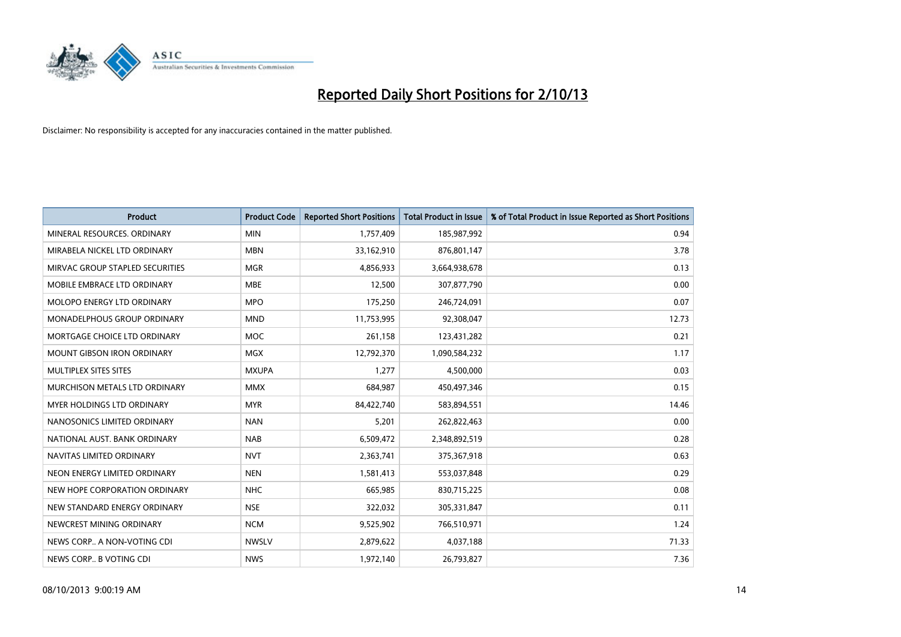

| <b>Product</b>                  | <b>Product Code</b> | <b>Reported Short Positions</b> | <b>Total Product in Issue</b> | % of Total Product in Issue Reported as Short Positions |
|---------------------------------|---------------------|---------------------------------|-------------------------------|---------------------------------------------------------|
| MINERAL RESOURCES, ORDINARY     | <b>MIN</b>          | 1,757,409                       | 185,987,992                   | 0.94                                                    |
| MIRABELA NICKEL LTD ORDINARY    | <b>MBN</b>          | 33,162,910                      | 876,801,147                   | 3.78                                                    |
| MIRVAC GROUP STAPLED SECURITIES | <b>MGR</b>          | 4,856,933                       | 3,664,938,678                 | 0.13                                                    |
| MOBILE EMBRACE LTD ORDINARY     | <b>MBE</b>          | 12,500                          | 307,877,790                   | 0.00                                                    |
| MOLOPO ENERGY LTD ORDINARY      | <b>MPO</b>          | 175,250                         | 246,724,091                   | 0.07                                                    |
| MONADELPHOUS GROUP ORDINARY     | <b>MND</b>          | 11,753,995                      | 92,308,047                    | 12.73                                                   |
| MORTGAGE CHOICE LTD ORDINARY    | MOC                 | 261,158                         | 123,431,282                   | 0.21                                                    |
| MOUNT GIBSON IRON ORDINARY      | <b>MGX</b>          | 12,792,370                      | 1,090,584,232                 | 1.17                                                    |
| MULTIPLEX SITES SITES           | <b>MXUPA</b>        | 1,277                           | 4,500,000                     | 0.03                                                    |
| MURCHISON METALS LTD ORDINARY   | <b>MMX</b>          | 684,987                         | 450,497,346                   | 0.15                                                    |
| MYER HOLDINGS LTD ORDINARY      | <b>MYR</b>          | 84,422,740                      | 583,894,551                   | 14.46                                                   |
| NANOSONICS LIMITED ORDINARY     | <b>NAN</b>          | 5,201                           | 262,822,463                   | 0.00                                                    |
| NATIONAL AUST. BANK ORDINARY    | <b>NAB</b>          | 6,509,472                       | 2,348,892,519                 | 0.28                                                    |
| NAVITAS LIMITED ORDINARY        | <b>NVT</b>          | 2,363,741                       | 375,367,918                   | 0.63                                                    |
| NEON ENERGY LIMITED ORDINARY    | <b>NEN</b>          | 1,581,413                       | 553,037,848                   | 0.29                                                    |
| NEW HOPE CORPORATION ORDINARY   | <b>NHC</b>          | 665,985                         | 830,715,225                   | 0.08                                                    |
| NEW STANDARD ENERGY ORDINARY    | <b>NSE</b>          | 322,032                         | 305,331,847                   | 0.11                                                    |
| NEWCREST MINING ORDINARY        | <b>NCM</b>          | 9,525,902                       | 766,510,971                   | 1.24                                                    |
| NEWS CORP A NON-VOTING CDI      | <b>NWSLV</b>        | 2,879,622                       | 4,037,188                     | 71.33                                                   |
| NEWS CORP B VOTING CDI          | <b>NWS</b>          | 1,972,140                       | 26,793,827                    | 7.36                                                    |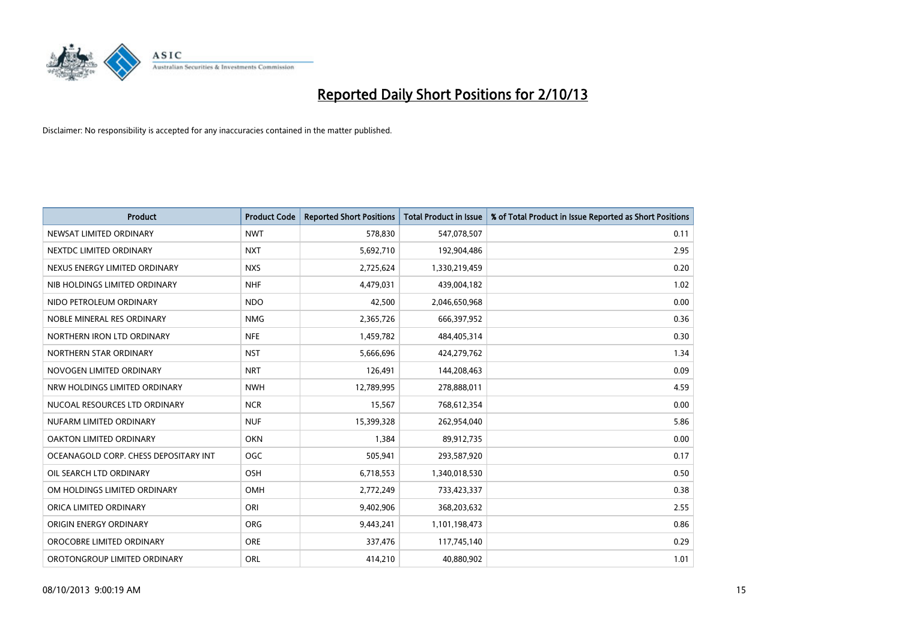

| <b>Product</b>                        | <b>Product Code</b> | <b>Reported Short Positions</b> | <b>Total Product in Issue</b> | % of Total Product in Issue Reported as Short Positions |
|---------------------------------------|---------------------|---------------------------------|-------------------------------|---------------------------------------------------------|
| NEWSAT LIMITED ORDINARY               | <b>NWT</b>          | 578,830                         | 547,078,507                   | 0.11                                                    |
| NEXTDC LIMITED ORDINARY               | <b>NXT</b>          | 5,692,710                       | 192,904,486                   | 2.95                                                    |
| NEXUS ENERGY LIMITED ORDINARY         | <b>NXS</b>          | 2,725,624                       | 1,330,219,459                 | 0.20                                                    |
| NIB HOLDINGS LIMITED ORDINARY         | <b>NHF</b>          | 4,479,031                       | 439,004,182                   | 1.02                                                    |
| NIDO PETROLEUM ORDINARY               | <b>NDO</b>          | 42,500                          | 2,046,650,968                 | 0.00                                                    |
| NOBLE MINERAL RES ORDINARY            | <b>NMG</b>          | 2,365,726                       | 666,397,952                   | 0.36                                                    |
| NORTHERN IRON LTD ORDINARY            | <b>NFE</b>          | 1,459,782                       | 484,405,314                   | 0.30                                                    |
| NORTHERN STAR ORDINARY                | <b>NST</b>          | 5,666,696                       | 424,279,762                   | 1.34                                                    |
| NOVOGEN LIMITED ORDINARY              | <b>NRT</b>          | 126,491                         | 144,208,463                   | 0.09                                                    |
| NRW HOLDINGS LIMITED ORDINARY         | <b>NWH</b>          | 12,789,995                      | 278,888,011                   | 4.59                                                    |
| NUCOAL RESOURCES LTD ORDINARY         | <b>NCR</b>          | 15,567                          | 768,612,354                   | 0.00                                                    |
| NUFARM LIMITED ORDINARY               | <b>NUF</b>          | 15,399,328                      | 262,954,040                   | 5.86                                                    |
| OAKTON LIMITED ORDINARY               | <b>OKN</b>          | 1,384                           | 89,912,735                    | 0.00                                                    |
| OCEANAGOLD CORP. CHESS DEPOSITARY INT | <b>OGC</b>          | 505,941                         | 293,587,920                   | 0.17                                                    |
| OIL SEARCH LTD ORDINARY               | OSH                 | 6,718,553                       | 1,340,018,530                 | 0.50                                                    |
| OM HOLDINGS LIMITED ORDINARY          | OMH                 | 2,772,249                       | 733,423,337                   | 0.38                                                    |
| ORICA LIMITED ORDINARY                | ORI                 | 9,402,906                       | 368,203,632                   | 2.55                                                    |
| ORIGIN ENERGY ORDINARY                | <b>ORG</b>          | 9,443,241                       | 1,101,198,473                 | 0.86                                                    |
| OROCOBRE LIMITED ORDINARY             | <b>ORE</b>          | 337,476                         | 117,745,140                   | 0.29                                                    |
| OROTONGROUP LIMITED ORDINARY          | ORL                 | 414,210                         | 40,880,902                    | 1.01                                                    |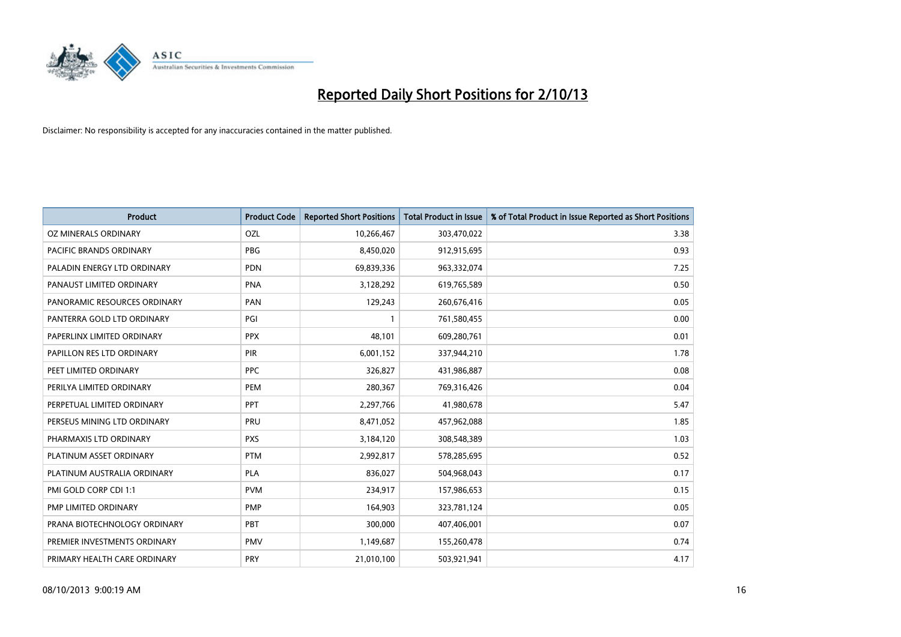

| <b>Product</b>               | <b>Product Code</b> | <b>Reported Short Positions</b> | <b>Total Product in Issue</b> | % of Total Product in Issue Reported as Short Positions |
|------------------------------|---------------------|---------------------------------|-------------------------------|---------------------------------------------------------|
| OZ MINERALS ORDINARY         | OZL                 | 10,266,467                      | 303,470,022                   | 3.38                                                    |
| PACIFIC BRANDS ORDINARY      | <b>PBG</b>          | 8,450,020                       | 912,915,695                   | 0.93                                                    |
| PALADIN ENERGY LTD ORDINARY  | <b>PDN</b>          | 69,839,336                      | 963,332,074                   | 7.25                                                    |
| PANAUST LIMITED ORDINARY     | <b>PNA</b>          | 3,128,292                       | 619,765,589                   | 0.50                                                    |
| PANORAMIC RESOURCES ORDINARY | PAN                 | 129,243                         | 260,676,416                   | 0.05                                                    |
| PANTERRA GOLD LTD ORDINARY   | PGI                 |                                 | 761,580,455                   | 0.00                                                    |
| PAPERLINX LIMITED ORDINARY   | <b>PPX</b>          | 48,101                          | 609,280,761                   | 0.01                                                    |
| PAPILLON RES LTD ORDINARY    | <b>PIR</b>          | 6,001,152                       | 337,944,210                   | 1.78                                                    |
| PEET LIMITED ORDINARY        | <b>PPC</b>          | 326,827                         | 431,986,887                   | 0.08                                                    |
| PERILYA LIMITED ORDINARY     | <b>PEM</b>          | 280,367                         | 769,316,426                   | 0.04                                                    |
| PERPETUAL LIMITED ORDINARY   | PPT                 | 2,297,766                       | 41,980,678                    | 5.47                                                    |
| PERSEUS MINING LTD ORDINARY  | PRU                 | 8,471,052                       | 457,962,088                   | 1.85                                                    |
| PHARMAXIS LTD ORDINARY       | <b>PXS</b>          | 3,184,120                       | 308,548,389                   | 1.03                                                    |
| PLATINUM ASSET ORDINARY      | <b>PTM</b>          | 2,992,817                       | 578,285,695                   | 0.52                                                    |
| PLATINUM AUSTRALIA ORDINARY  | <b>PLA</b>          | 836,027                         | 504,968,043                   | 0.17                                                    |
| PMI GOLD CORP CDI 1:1        | <b>PVM</b>          | 234,917                         | 157,986,653                   | 0.15                                                    |
| PMP LIMITED ORDINARY         | <b>PMP</b>          | 164,903                         | 323,781,124                   | 0.05                                                    |
| PRANA BIOTECHNOLOGY ORDINARY | PBT                 | 300,000                         | 407,406,001                   | 0.07                                                    |
| PREMIER INVESTMENTS ORDINARY | <b>PMV</b>          | 1,149,687                       | 155,260,478                   | 0.74                                                    |
| PRIMARY HEALTH CARE ORDINARY | <b>PRY</b>          | 21,010,100                      | 503,921,941                   | 4.17                                                    |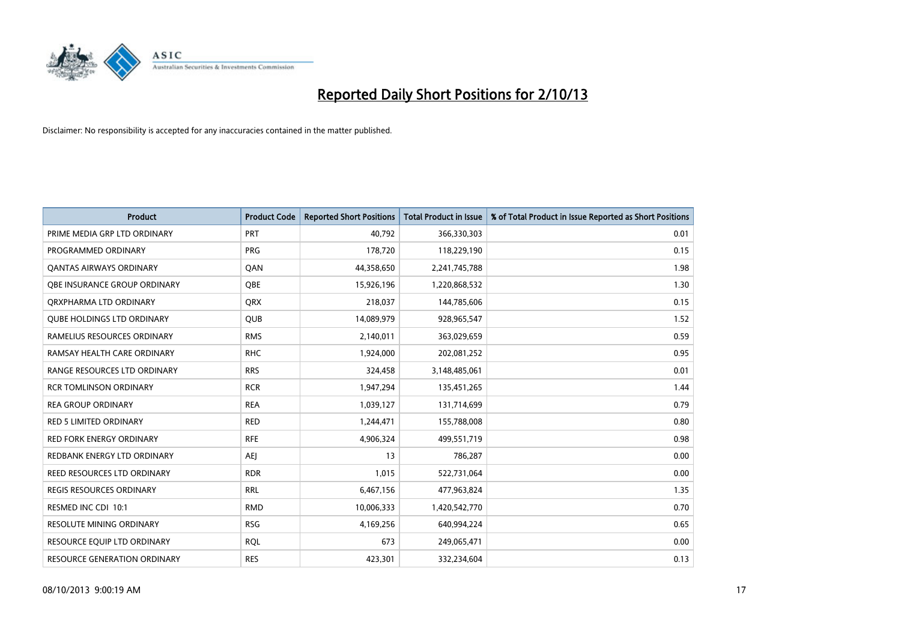

| <b>Product</b>                     | <b>Product Code</b> | <b>Reported Short Positions</b> | <b>Total Product in Issue</b> | % of Total Product in Issue Reported as Short Positions |
|------------------------------------|---------------------|---------------------------------|-------------------------------|---------------------------------------------------------|
| PRIME MEDIA GRP LTD ORDINARY       | <b>PRT</b>          | 40,792                          | 366,330,303                   | 0.01                                                    |
| PROGRAMMED ORDINARY                | <b>PRG</b>          | 178,720                         | 118,229,190                   | 0.15                                                    |
| OANTAS AIRWAYS ORDINARY            | QAN                 | 44,358,650                      | 2,241,745,788                 | 1.98                                                    |
| OBE INSURANCE GROUP ORDINARY       | <b>OBE</b>          | 15,926,196                      | 1,220,868,532                 | 1.30                                                    |
| ORXPHARMA LTD ORDINARY             | <b>QRX</b>          | 218,037                         | 144,785,606                   | 0.15                                                    |
| <b>QUBE HOLDINGS LTD ORDINARY</b>  | <b>QUB</b>          | 14,089,979                      | 928,965,547                   | 1.52                                                    |
| RAMELIUS RESOURCES ORDINARY        | <b>RMS</b>          | 2,140,011                       | 363,029,659                   | 0.59                                                    |
| RAMSAY HEALTH CARE ORDINARY        | <b>RHC</b>          | 1,924,000                       | 202,081,252                   | 0.95                                                    |
| RANGE RESOURCES LTD ORDINARY       | <b>RRS</b>          | 324,458                         | 3,148,485,061                 | 0.01                                                    |
| <b>RCR TOMLINSON ORDINARY</b>      | <b>RCR</b>          | 1,947,294                       | 135,451,265                   | 1.44                                                    |
| <b>REA GROUP ORDINARY</b>          | <b>REA</b>          | 1,039,127                       | 131,714,699                   | 0.79                                                    |
| <b>RED 5 LIMITED ORDINARY</b>      | <b>RED</b>          | 1,244,471                       | 155,788,008                   | 0.80                                                    |
| RED FORK ENERGY ORDINARY           | <b>RFE</b>          | 4,906,324                       | 499,551,719                   | 0.98                                                    |
| REDBANK ENERGY LTD ORDINARY        | <b>AEJ</b>          | 13                              | 786,287                       | 0.00                                                    |
| <b>REED RESOURCES LTD ORDINARY</b> | <b>RDR</b>          | 1,015                           | 522,731,064                   | 0.00                                                    |
| <b>REGIS RESOURCES ORDINARY</b>    | <b>RRL</b>          | 6,467,156                       | 477,963,824                   | 1.35                                                    |
| RESMED INC CDI 10:1                | <b>RMD</b>          | 10,006,333                      | 1,420,542,770                 | 0.70                                                    |
| RESOLUTE MINING ORDINARY           | <b>RSG</b>          | 4,169,256                       | 640,994,224                   | 0.65                                                    |
| RESOURCE EQUIP LTD ORDINARY        | <b>ROL</b>          | 673                             | 249,065,471                   | 0.00                                                    |
| RESOURCE GENERATION ORDINARY       | <b>RES</b>          | 423,301                         | 332,234,604                   | 0.13                                                    |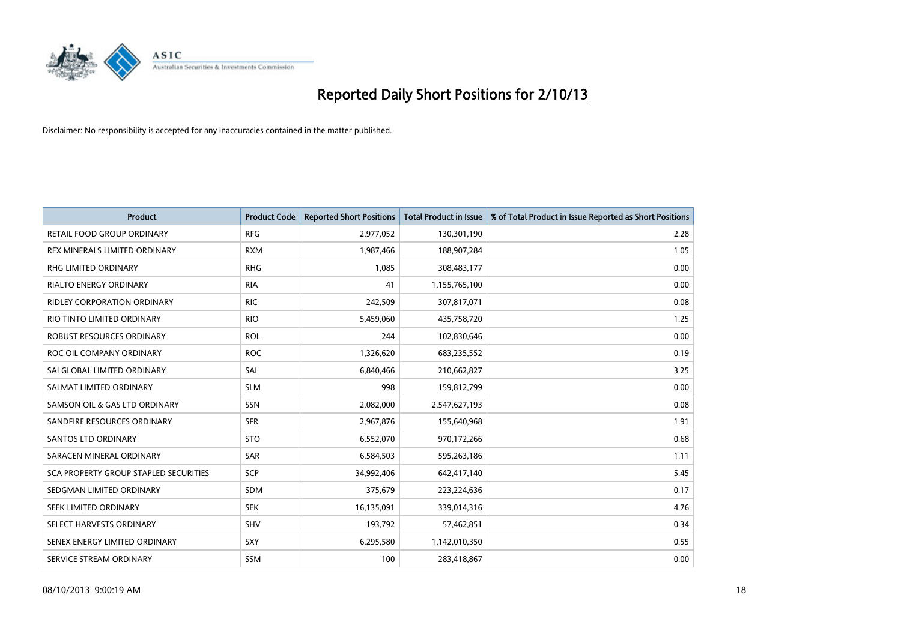

| <b>Product</b>                        | <b>Product Code</b> | <b>Reported Short Positions</b> | <b>Total Product in Issue</b> | % of Total Product in Issue Reported as Short Positions |
|---------------------------------------|---------------------|---------------------------------|-------------------------------|---------------------------------------------------------|
| RETAIL FOOD GROUP ORDINARY            | <b>RFG</b>          | 2,977,052                       | 130,301,190                   | 2.28                                                    |
| REX MINERALS LIMITED ORDINARY         | <b>RXM</b>          | 1,987,466                       | 188,907,284                   | 1.05                                                    |
| RHG LIMITED ORDINARY                  | <b>RHG</b>          | 1,085                           | 308,483,177                   | 0.00                                                    |
| <b>RIALTO ENERGY ORDINARY</b>         | <b>RIA</b>          | 41                              | 1,155,765,100                 | 0.00                                                    |
| RIDLEY CORPORATION ORDINARY           | <b>RIC</b>          | 242,509                         | 307,817,071                   | 0.08                                                    |
| RIO TINTO LIMITED ORDINARY            | <b>RIO</b>          | 5,459,060                       | 435,758,720                   | 1.25                                                    |
| ROBUST RESOURCES ORDINARY             | <b>ROL</b>          | 244                             | 102,830,646                   | 0.00                                                    |
| ROC OIL COMPANY ORDINARY              | <b>ROC</b>          | 1,326,620                       | 683,235,552                   | 0.19                                                    |
| SAI GLOBAL LIMITED ORDINARY           | SAI                 | 6,840,466                       | 210,662,827                   | 3.25                                                    |
| SALMAT LIMITED ORDINARY               | <b>SLM</b>          | 998                             | 159,812,799                   | 0.00                                                    |
| SAMSON OIL & GAS LTD ORDINARY         | SSN                 | 2,082,000                       | 2,547,627,193                 | 0.08                                                    |
| SANDFIRE RESOURCES ORDINARY           | <b>SFR</b>          | 2,967,876                       | 155,640,968                   | 1.91                                                    |
| SANTOS LTD ORDINARY                   | <b>STO</b>          | 6,552,070                       | 970,172,266                   | 0.68                                                    |
| SARACEN MINERAL ORDINARY              | SAR                 | 6,584,503                       | 595,263,186                   | 1.11                                                    |
| SCA PROPERTY GROUP STAPLED SECURITIES | SCP                 | 34,992,406                      | 642,417,140                   | 5.45                                                    |
| SEDGMAN LIMITED ORDINARY              | SDM                 | 375,679                         | 223,224,636                   | 0.17                                                    |
| SEEK LIMITED ORDINARY                 | <b>SEK</b>          | 16,135,091                      | 339,014,316                   | 4.76                                                    |
| SELECT HARVESTS ORDINARY              | <b>SHV</b>          | 193,792                         | 57,462,851                    | 0.34                                                    |
| SENEX ENERGY LIMITED ORDINARY         | <b>SXY</b>          | 6,295,580                       | 1,142,010,350                 | 0.55                                                    |
| SERVICE STREAM ORDINARY               | SSM                 | 100                             | 283,418,867                   | 0.00                                                    |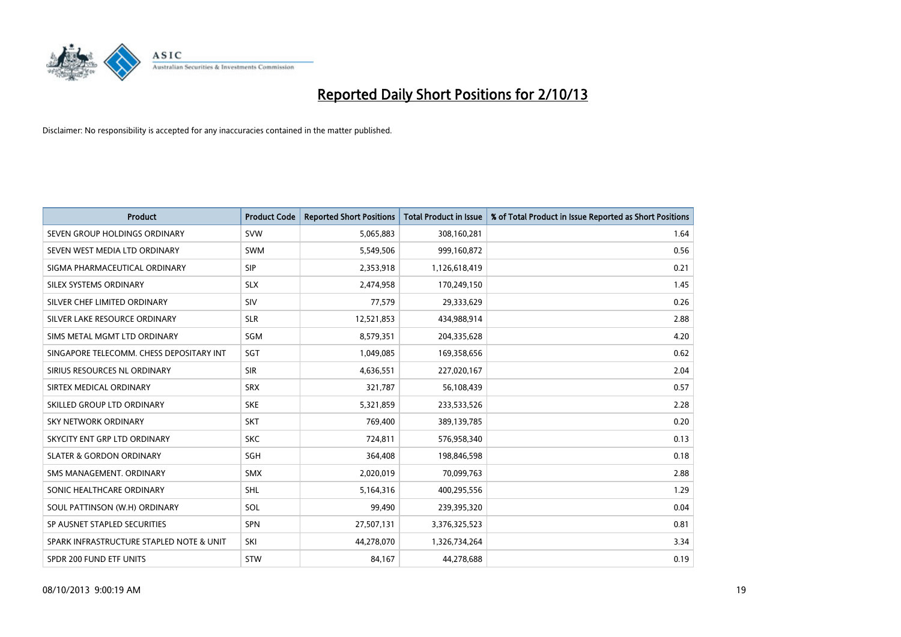

| <b>Product</b>                           | <b>Product Code</b> | <b>Reported Short Positions</b> | <b>Total Product in Issue</b> | % of Total Product in Issue Reported as Short Positions |
|------------------------------------------|---------------------|---------------------------------|-------------------------------|---------------------------------------------------------|
| SEVEN GROUP HOLDINGS ORDINARY            | <b>SVW</b>          | 5,065,883                       | 308,160,281                   | 1.64                                                    |
| SEVEN WEST MEDIA LTD ORDINARY            | <b>SWM</b>          | 5,549,506                       | 999,160,872                   | 0.56                                                    |
| SIGMA PHARMACEUTICAL ORDINARY            | <b>SIP</b>          | 2,353,918                       | 1,126,618,419                 | 0.21                                                    |
| SILEX SYSTEMS ORDINARY                   | <b>SLX</b>          | 2,474,958                       | 170,249,150                   | 1.45                                                    |
| SILVER CHEF LIMITED ORDINARY             | SIV                 | 77,579                          | 29,333,629                    | 0.26                                                    |
| SILVER LAKE RESOURCE ORDINARY            | <b>SLR</b>          | 12,521,853                      | 434,988,914                   | 2.88                                                    |
| SIMS METAL MGMT LTD ORDINARY             | SGM                 | 8,579,351                       | 204,335,628                   | 4.20                                                    |
| SINGAPORE TELECOMM. CHESS DEPOSITARY INT | SGT                 | 1,049,085                       | 169,358,656                   | 0.62                                                    |
| SIRIUS RESOURCES NL ORDINARY             | <b>SIR</b>          | 4,636,551                       | 227,020,167                   | 2.04                                                    |
| SIRTEX MEDICAL ORDINARY                  | <b>SRX</b>          | 321,787                         | 56,108,439                    | 0.57                                                    |
| SKILLED GROUP LTD ORDINARY               | <b>SKE</b>          | 5,321,859                       | 233,533,526                   | 2.28                                                    |
| <b>SKY NETWORK ORDINARY</b>              | <b>SKT</b>          | 769,400                         | 389,139,785                   | 0.20                                                    |
| SKYCITY ENT GRP LTD ORDINARY             | <b>SKC</b>          | 724,811                         | 576,958,340                   | 0.13                                                    |
| <b>SLATER &amp; GORDON ORDINARY</b>      | SGH                 | 364,408                         | 198,846,598                   | 0.18                                                    |
| SMS MANAGEMENT, ORDINARY                 | <b>SMX</b>          | 2,020,019                       | 70,099,763                    | 2.88                                                    |
| SONIC HEALTHCARE ORDINARY                | <b>SHL</b>          | 5,164,316                       | 400,295,556                   | 1.29                                                    |
| SOUL PATTINSON (W.H) ORDINARY            | SOL                 | 99,490                          | 239,395,320                   | 0.04                                                    |
| SP AUSNET STAPLED SECURITIES             | SPN                 | 27,507,131                      | 3,376,325,523                 | 0.81                                                    |
| SPARK INFRASTRUCTURE STAPLED NOTE & UNIT | SKI                 | 44,278,070                      | 1,326,734,264                 | 3.34                                                    |
| SPDR 200 FUND ETF UNITS                  | <b>STW</b>          | 84,167                          | 44,278,688                    | 0.19                                                    |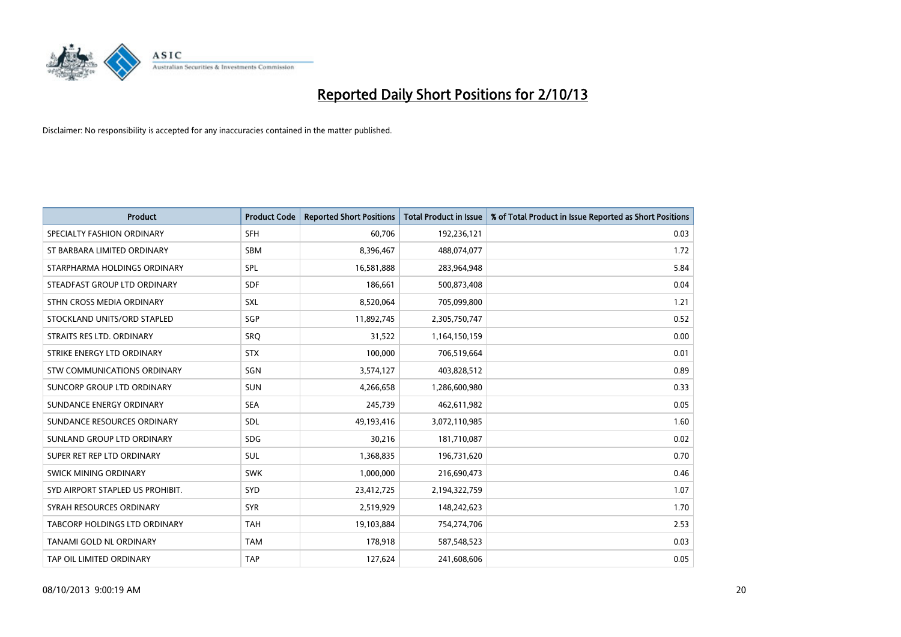

| <b>Product</b>                   | <b>Product Code</b> | <b>Reported Short Positions</b> | <b>Total Product in Issue</b> | % of Total Product in Issue Reported as Short Positions |
|----------------------------------|---------------------|---------------------------------|-------------------------------|---------------------------------------------------------|
| SPECIALTY FASHION ORDINARY       | <b>SFH</b>          | 60,706                          | 192,236,121                   | 0.03                                                    |
| ST BARBARA LIMITED ORDINARY      | <b>SBM</b>          | 8,396,467                       | 488,074,077                   | 1.72                                                    |
| STARPHARMA HOLDINGS ORDINARY     | SPL                 | 16,581,888                      | 283,964,948                   | 5.84                                                    |
| STEADFAST GROUP LTD ORDINARY     | <b>SDF</b>          | 186,661                         | 500,873,408                   | 0.04                                                    |
| STHN CROSS MEDIA ORDINARY        | SXL                 | 8,520,064                       | 705,099,800                   | 1.21                                                    |
| STOCKLAND UNITS/ORD STAPLED      | SGP                 | 11,892,745                      | 2,305,750,747                 | 0.52                                                    |
| STRAITS RES LTD. ORDINARY        | <b>SRQ</b>          | 31,522                          | 1,164,150,159                 | 0.00                                                    |
| STRIKE ENERGY LTD ORDINARY       | <b>STX</b>          | 100,000                         | 706,519,664                   | 0.01                                                    |
| STW COMMUNICATIONS ORDINARY      | SGN                 | 3,574,127                       | 403,828,512                   | 0.89                                                    |
| SUNCORP GROUP LTD ORDINARY       | <b>SUN</b>          | 4,266,658                       | 1,286,600,980                 | 0.33                                                    |
| SUNDANCE ENERGY ORDINARY         | <b>SEA</b>          | 245,739                         | 462,611,982                   | 0.05                                                    |
| SUNDANCE RESOURCES ORDINARY      | <b>SDL</b>          | 49,193,416                      | 3,072,110,985                 | 1.60                                                    |
| SUNLAND GROUP LTD ORDINARY       | <b>SDG</b>          | 30,216                          | 181,710,087                   | 0.02                                                    |
| SUPER RET REP LTD ORDINARY       | SUL                 | 1,368,835                       | 196,731,620                   | 0.70                                                    |
| SWICK MINING ORDINARY            | <b>SWK</b>          | 1,000,000                       | 216,690,473                   | 0.46                                                    |
| SYD AIRPORT STAPLED US PROHIBIT. | <b>SYD</b>          | 23,412,725                      | 2,194,322,759                 | 1.07                                                    |
| SYRAH RESOURCES ORDINARY         | <b>SYR</b>          | 2,519,929                       | 148,242,623                   | 1.70                                                    |
| TABCORP HOLDINGS LTD ORDINARY    | <b>TAH</b>          | 19,103,884                      | 754,274,706                   | 2.53                                                    |
| TANAMI GOLD NL ORDINARY          | <b>TAM</b>          | 178,918                         | 587,548,523                   | 0.03                                                    |
| TAP OIL LIMITED ORDINARY         | <b>TAP</b>          | 127,624                         | 241,608,606                   | 0.05                                                    |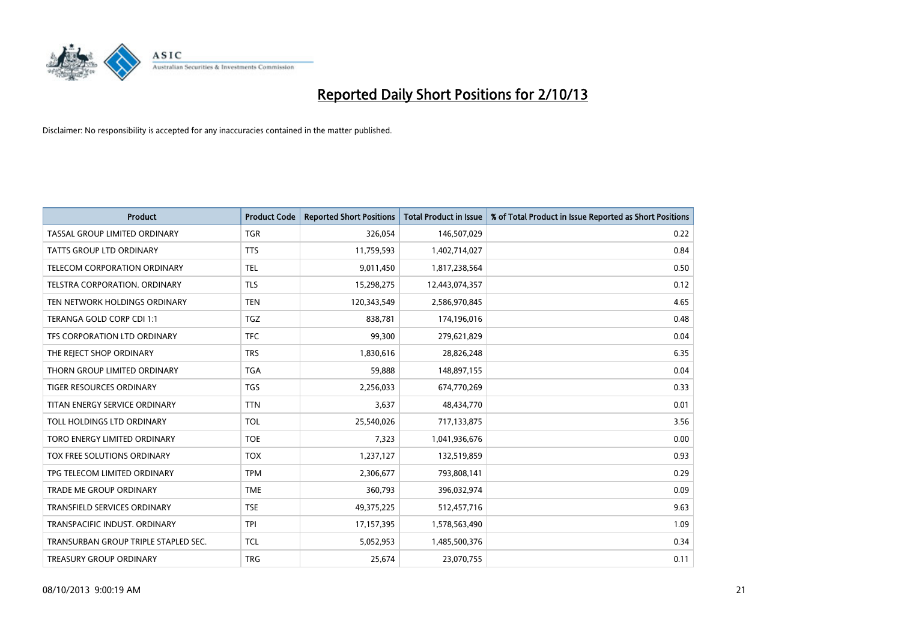

| <b>Product</b>                       | <b>Product Code</b> | <b>Reported Short Positions</b> | <b>Total Product in Issue</b> | % of Total Product in Issue Reported as Short Positions |
|--------------------------------------|---------------------|---------------------------------|-------------------------------|---------------------------------------------------------|
| TASSAL GROUP LIMITED ORDINARY        | <b>TGR</b>          | 326,054                         | 146,507,029                   | 0.22                                                    |
| TATTS GROUP LTD ORDINARY             | <b>TTS</b>          | 11,759,593                      | 1,402,714,027                 | 0.84                                                    |
| <b>TELECOM CORPORATION ORDINARY</b>  | <b>TEL</b>          | 9,011,450                       | 1,817,238,564                 | 0.50                                                    |
| TELSTRA CORPORATION. ORDINARY        | <b>TLS</b>          | 15,298,275                      | 12,443,074,357                | 0.12                                                    |
| TEN NETWORK HOLDINGS ORDINARY        | <b>TEN</b>          | 120,343,549                     | 2,586,970,845                 | 4.65                                                    |
| TERANGA GOLD CORP CDI 1:1            | <b>TGZ</b>          | 838,781                         | 174,196,016                   | 0.48                                                    |
| TFS CORPORATION LTD ORDINARY         | <b>TFC</b>          | 99,300                          | 279,621,829                   | 0.04                                                    |
| THE REJECT SHOP ORDINARY             | <b>TRS</b>          | 1,830,616                       | 28,826,248                    | 6.35                                                    |
| THORN GROUP LIMITED ORDINARY         | <b>TGA</b>          | 59,888                          | 148,897,155                   | 0.04                                                    |
| <b>TIGER RESOURCES ORDINARY</b>      | <b>TGS</b>          | 2,256,033                       | 674,770,269                   | 0.33                                                    |
| TITAN ENERGY SERVICE ORDINARY        | <b>TTN</b>          | 3,637                           | 48,434,770                    | 0.01                                                    |
| TOLL HOLDINGS LTD ORDINARY           | <b>TOL</b>          | 25,540,026                      | 717,133,875                   | 3.56                                                    |
| TORO ENERGY LIMITED ORDINARY         | <b>TOE</b>          | 7,323                           | 1,041,936,676                 | 0.00                                                    |
| TOX FREE SOLUTIONS ORDINARY          | <b>TOX</b>          | 1,237,127                       | 132,519,859                   | 0.93                                                    |
| TPG TELECOM LIMITED ORDINARY         | <b>TPM</b>          | 2,306,677                       | 793,808,141                   | 0.29                                                    |
| TRADE ME GROUP ORDINARY              | <b>TME</b>          | 360,793                         | 396,032,974                   | 0.09                                                    |
| TRANSFIELD SERVICES ORDINARY         | <b>TSE</b>          | 49,375,225                      | 512,457,716                   | 9.63                                                    |
| TRANSPACIFIC INDUST. ORDINARY        | <b>TPI</b>          | 17,157,395                      | 1,578,563,490                 | 1.09                                                    |
| TRANSURBAN GROUP TRIPLE STAPLED SEC. | <b>TCL</b>          | 5,052,953                       | 1,485,500,376                 | 0.34                                                    |
| TREASURY GROUP ORDINARY              | <b>TRG</b>          | 25,674                          | 23,070,755                    | 0.11                                                    |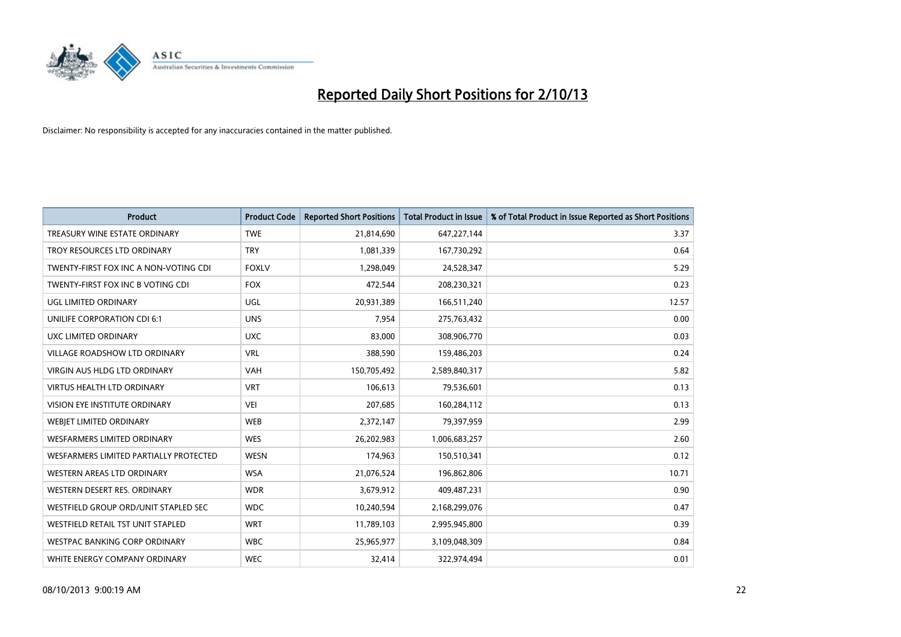

| <b>Product</b>                         | <b>Product Code</b> | <b>Reported Short Positions</b> | <b>Total Product in Issue</b> | % of Total Product in Issue Reported as Short Positions |
|----------------------------------------|---------------------|---------------------------------|-------------------------------|---------------------------------------------------------|
| TREASURY WINE ESTATE ORDINARY          | <b>TWE</b>          | 21,814,690                      | 647,227,144                   | 3.37                                                    |
| TROY RESOURCES LTD ORDINARY            | <b>TRY</b>          | 1,081,339                       | 167,730,292                   | 0.64                                                    |
| TWENTY-FIRST FOX INC A NON-VOTING CDI  | <b>FOXLV</b>        | 1,298,049                       | 24,528,347                    | 5.29                                                    |
| TWENTY-FIRST FOX INC B VOTING CDI      | <b>FOX</b>          | 472,544                         | 208,230,321                   | 0.23                                                    |
| <b>UGL LIMITED ORDINARY</b>            | UGL                 | 20,931,389                      | 166,511,240                   | 12.57                                                   |
| UNILIFE CORPORATION CDI 6:1            | <b>UNS</b>          | 7,954                           | 275,763,432                   | 0.00                                                    |
| UXC LIMITED ORDINARY                   | <b>UXC</b>          | 83.000                          | 308,906,770                   | 0.03                                                    |
| <b>VILLAGE ROADSHOW LTD ORDINARY</b>   | <b>VRL</b>          | 388,590                         | 159,486,203                   | 0.24                                                    |
| <b>VIRGIN AUS HLDG LTD ORDINARY</b>    | <b>VAH</b>          | 150,705,492                     | 2,589,840,317                 | 5.82                                                    |
| <b>VIRTUS HEALTH LTD ORDINARY</b>      | <b>VRT</b>          | 106,613                         | 79,536,601                    | 0.13                                                    |
| <b>VISION EYE INSTITUTE ORDINARY</b>   | <b>VEI</b>          | 207,685                         | 160,284,112                   | 0.13                                                    |
| WEBJET LIMITED ORDINARY                | <b>WEB</b>          | 2,372,147                       | 79,397,959                    | 2.99                                                    |
| <b>WESFARMERS LIMITED ORDINARY</b>     | <b>WES</b>          | 26,202,983                      | 1,006,683,257                 | 2.60                                                    |
| WESFARMERS LIMITED PARTIALLY PROTECTED | <b>WESN</b>         | 174,963                         | 150,510,341                   | 0.12                                                    |
| WESTERN AREAS LTD ORDINARY             | <b>WSA</b>          | 21,076,524                      | 196,862,806                   | 10.71                                                   |
| WESTERN DESERT RES. ORDINARY           | <b>WDR</b>          | 3,679,912                       | 409,487,231                   | 0.90                                                    |
| WESTFIELD GROUP ORD/UNIT STAPLED SEC   | <b>WDC</b>          | 10,240,594                      | 2,168,299,076                 | 0.47                                                    |
| WESTFIELD RETAIL TST UNIT STAPLED      | <b>WRT</b>          | 11,789,103                      | 2,995,945,800                 | 0.39                                                    |
| <b>WESTPAC BANKING CORP ORDINARY</b>   | <b>WBC</b>          | 25,965,977                      | 3,109,048,309                 | 0.84                                                    |
| WHITE ENERGY COMPANY ORDINARY          | <b>WEC</b>          | 32,414                          | 322,974,494                   | 0.01                                                    |